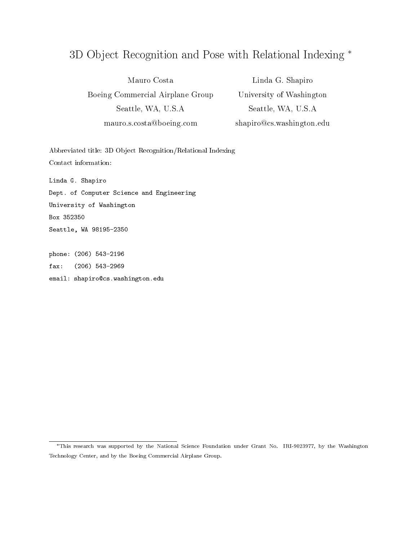# 3D Ob ject Recognition and Pose with Relational Indexing

Mauro Costa Boeing Commercial Airplane Group Seattle, WA, U.S.A mauro.s.costa@boeing.com

Linda G. Shapiro University of Washington Seattle, WA, U.S.A shapiro@cs.washington.edu

Abbreviated title: 3D Ob ject Recognition/Relational Indexing Contact information:

Linda G. Shapiro Dept. of Computer Science and Engineering University of Washington Box 352350 Seattle, WA 98195-2350

phone: (206) 543-2196 fax: (206) 543-2969 email: shapiro@cs.washington.edu

This research was supported by the National Science Foundation under Grant No. IRI-9023977, by the Washington Technology Center, and by the Boeing Commercial Airplane Group.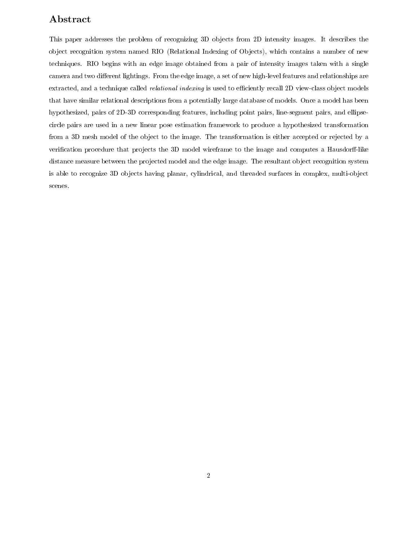# Abstract

This paper addresses the problem of recognizing 3D objects from 2D intensity images. It describes the object recognition system named RIO (Relational Indexing of Objects), which contains a number of new techniques. RIO begins with an edge image obtained from a pair of intensity images taken with a single camera and two different lightings. From the edge image, a set of new high-level features and relationships are extracted, and a technique called *relational indexing* is used to efficiently recall 2D view-class object models that have similar relational descriptions from a potentially large database of models. Once a model has been hypothesized, pairs of 2D-3D corresponding features, including point pairs, line-segment pairs, and ellipsecircle pairs are used in a new linear pose estimation framework to produce a hypothesized transformation from a 3D mesh model of the object to the image. The transformation is either accepted or rejected by a verification procedure that projects the 3D model wireframe to the image and computes a Hausdorff-like distance measure between the projected model and the edge image. The resultant object recognition system is able to recognize 3D objects having planar, cylindrical, and threaded surfaces in complex, multi-object scenes.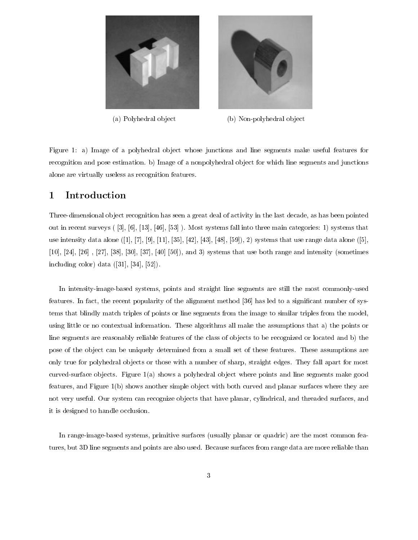



(a) Polyhedral object (b) Non-polyhedral object

Figure 1: a) Image of a polyhedral object whose junctions and line segments make useful features for recognition and pose estimation. b) Image of a nonpolyhedral object for which line segments and junctions alone are virtually useless as recognition features.

# 1 Introduction

Three-dimensional ob ject recognition has seen a great deal of activity in the last decade, as has been pointed out in recent surveys ( [3], [6], [13], [46], [53] ). Most systems fall into three main categories: 1) systems that use intensity data alone ([1], [7], [9], [11], [35], [42], [43], [48], [59]), 2) systems that use range data alone ([5], [10], [24], [26] , [27], [38], [30], [37], [40] [50]), and 3) systems that use both range and intensity (sometimes including color) data ([31], [34], [52]).

In intensity-image-based systems, points and straight line segments are still the most commonly-used features. In fact, the recent popularity of the alignment method [36] has led to a signicant number of systems that blindly match triples of points or line segments from the image to similar triples from the model, using little or no contextual information. These algorithms all make the assumptions that a) the points or line segments are reasonably reliable features of the class of objects to be recognized or located and b) the pose of the object can be uniquely determined from a small set of these features. These assumptions are only true for polyhedral ob jects or those with a number of sharp, straight edges. They fall apart for most curved-surface objects. Figure 1(a) shows a polyhedral object where points and line segments make good features, and Figure 1(b) shows another simple object with both curved and planar surfaces where they are not very useful. Our system can recognize ob jects that have planar, cylindrical, and threaded surfaces, and it is designed to handle occlusion.

In range-image-based systems, primitive surfaces (usually planar or quadric) are the most common features, but 3D line segments and points are also used. Because surfaces from range data are more reliable than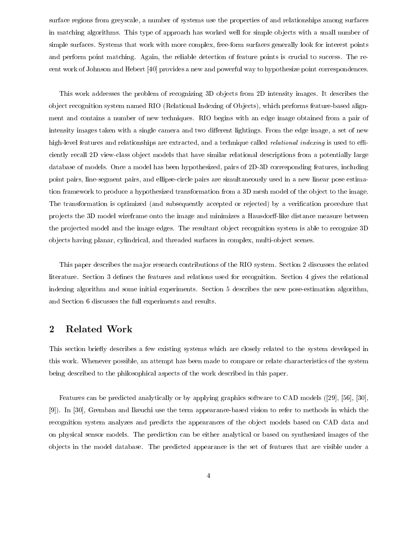surface regions from greyscale, a number of systems use the properties of and relationships among surfaces in matching algorithms. This type of approach has worked well for simple objects with a small number of simple surfaces. Systems that work with more complex, free-form surfaces generally look for interest points and perform point matching. Again, the reliable detection of feature points is crucial to success. The recent work of Johnson and Hebert [40] provides a new and powerful way to hypothesize point correspondences.

This work addresses the problem of recognizing 3D objects from 2D intensity images. It describes the ob ject recognition system named RIO (Relational Indexing of Ob jects), which performs feature-based alignment and contains a number of new techniques. RIO begins with an edge image obtained from a pair of intensity images taken with a single camera and two different lightings. From the edge image, a set of new high-level features and relationships are extracted, and a technique called *relational indexing* is used to efficiently recall 2D view-class ob ject models that have similar relational descriptions from a potentially large database of models. Once a model has been hypothesized, pairs of 2D-3D corresponding features, including point pairs, line-segment pairs, and ellipse-circle pairs are simultaneously used in a new linear pose estimation framework to produce a hypothesized transformation from a 3D mesh model of the object to the image. The transformation is optimized (and subsequently accepted or rejected) by a verication procedure that projects the 3D model wireframe onto the image and minimizes a Hausdorff-like distance measure between the projected model and the image edges. The resultant object recognition system is able to recognize 3D ob jects having planar, cylindrical, and threaded surfaces in complex, multi-ob ject scenes.

This paper describes the major research contributions of the RIO system. Section 2 discusses the related literature. Section 3 defines the features and relations used for recognition. Section 4 gives the relational indexing algorithm and some initial experiments. Section 5 describes the new pose-estimation algorithm, and Section 6 discusses the full experiments and results.

## 2 Related Work

This section briefly describes a few existing systems which are closely related to the system developed in this work. Whenever possible, an attempt has been made to compare or relate characteristics of the system being described to the philosophical aspects of the work described in this paper.

Features can be predicted analytically or by applying graphics software to CAD models ([29], [56], [30], [9]). In [30], Gremban and Ikeuchi use the term appearance-based vision to refer to methods in which the recognition system analyzes and predicts the appearances of the object models based on CAD data and on physical sensor models. The prediction can be either analytical or based on synthesized images of the ob jects in the model database. The predicted appearance is the set of features that are visible under a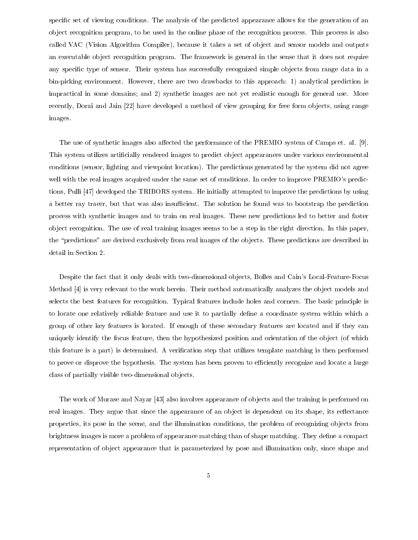specific set of viewing conditions. The analysis of the predicted appearance allows for the generation of an ob ject recognition program, to be used in the online phase of the recognition process. This process is also called VAC (Vision Algorithm Compiler), because it takes a set of object and sensor models and outputs an executable object recognition program. The framework is general in the sense that it does not require any specific type of sensor. Their system has successfully recognized simple objects from range data in a bin-picking environment. However, there are two drawbacks to this approach: 1) analytical prediction is impractical in some domains; and 2) synthetic images are not yet realistic enough for general use. More recently, Dorai and Jain [22] have developed a method of view grouping for free form objects, using range images.

The use of synthetic images also affected the performance of the PREMIO system of Camps et. al. [9]. This system utilizes articially rendered images to predict ob ject appearances under various environmental conditions (sensor, lighting and viewpoint location). The predictions generated by the system did not agree well with the real images acquired under the same set of conditions. In order to improve PREMIO's predictions, Pulli [47] developed the TRIBORS system. He initially attempted to improve the predictions by using a better ray tracer, but that was also insufficient. The solution he found was to bootstrap the prediction process with synthetic images and to train on real images. These new predictions led to better and faster ob ject recognition. The use of real training images seems to be a step in the right direction. In this paper, the "predictions" are derived exclusively from real images of the objects. These predictions are described in detail in Section 2.

Despite the fact that it only deals with two-dimensional ob jects, Bolles and Cain's Local-Feature-Focus Method [4] is very relevant to the work herein. Their method automatically analyzes the object models and selects the best features for recognition. Typical features include holes and corners. The basic principle is to locate one relatively reliable feature and use it to partially define a coordinate system within which a group of other key features is located. If enough of these secondary features are located and if they can uniquely identify the focus feature, then the hypothesized position and orientation of the object (of which this feature is a part) is determined. A verication step that utilizes template matching is then performed to prove or disprove the hypothesis. The system has been proven to efficiently recognize and locate a large class of partially visible two-dimensional objects.

The work of Murase and Nayar [43] also involves appearance of ob jects and the training is performed on real images. They argue that since the appearance of an object is dependent on its shape, its reflectance properties, its pose in the scene, and the illumination conditions, the problem of recognizing ob jects from brightness images is more a problem of appearance matching than of shape matching. They define a compact representation of object appearance that is parameterized by pose and illumination only, since shape and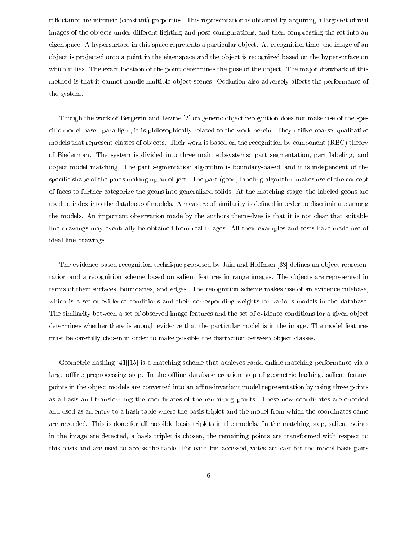reflectance are intrinsic (constant) properties. This representation is obtained by acquiring a large set of real images of the objects under different lighting and pose configurations, and then compressing the set into an eigenspace. A hypersurface in this space represents a particular object. At recognition time, the image of an ob ject is pro jected onto a point in the eigenspace and the ob ject is recognized based on the hypersurface on which it lies. The exact location of the point determines the pose of the object. The major drawback of this method is that it cannot handle multiple-object scenes. Occlusion also adversely affects the performance of the system.

Though the work of Bergevin and Levine [2] on generic ob ject recognition does not make use of the specic model-based paradigm, it is philosophically related to the work herein. They utilize coarse, qualitative models that represent classes of objects. Their work is based on the recognition by component (RBC) theory of Biederman. The system is divided into three main subsystems: part segmentation, part labeling, and ob ject model matching. The part segmentation algorithm is boundary-based, and it is independent of the specific shape of the parts making up an object. The part (geon) labeling algorithm makes use of the concept of faces to further categorize the geons into generalized solids. At the matching stage, the labeled geons are used to index into the database of models. A measure of similarity is defined in order to discriminate among the models. An important observation made by the authors themselves is that it is not clear that suitable line drawings may eventually be obtained from real images. All their examples and tests have made use of ideal line drawings.

The evidence-based recognition technique proposed by Jain and Hoffman [38] defines an object representation and a recognition scheme based on salient features in range images. The objects are represented in terms of their surfaces, boundaries, and edges. The recognition scheme makes use of an evidence rulebase, which is a set of evidence conditions and their corresponding weights for various models in the database. The similarity between a set of observed image features and the set of evidence conditions for a given object determines whether there is enough evidence that the particular model is in the image. The model features must be carefully chosen in order to make possible the distinction between ob ject classes.

Geometric hashing [41][15] is a matching scheme that achieves rapid online matching performance via a large offline preprocessing step. In the offline database creation step of geometric hashing, salient feature points in the object models are converted into an affine-invariant model representation by using three points as a basis and transforming the coordinates of the remaining points. These new coordinates are encoded and used as an entry to a hash table where the basis triplet and the model from which the coordinates came are recorded. This is done for all possible basis triplets in the models. In the matching step, salient points in the image are detected, a basis triplet is chosen, the remaining points are transformed with respect to this basis and are used to access the table. For each bin accessed, votes are cast for the model-basis pairs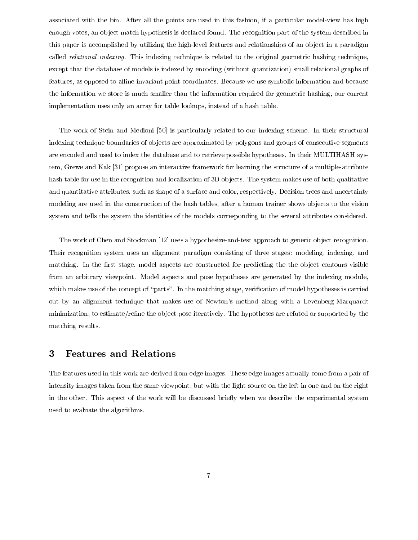associated with the bin. After all the points are used in this fashion, if a particular model-view has high enough votes, an object match hypothesis is declared found. The recognition part of the system described in this paper is accomplished by utilizing the high-level features and relationships of an object in a paradigm called relational indexing. This indexing technique is related to the original geometric hashing technique, except that the database of models is indexed by encoding (without quantization) small relational graphs of features, as opposed to affine-invariant point coordinates. Because we use symbolic information and because the information we store is much smaller than the information required for geometric hashing, our current implementation uses only an array for table lookups, instead of a hash table.

The work of Stein and Medioni [50] is particularly related to our indexing scheme. In their structural indexing technique boundaries of ob jects are approximated by polygons and groups of consecutive segments are encoded and used to index the database and to retrieve possible hypotheses. In their MULTIHASH system, Grewe and Kak [31] propose an interactive framework for learning the structure of a multiple-attribute hash table for use in the recognition and localization of 3D objects. The system makes use of both qualitative and quantitative attributes, such as shape of a surface and color, respectively. Decision trees and uncertainty modeling are used in the construction of the hash tables, after a human trainer shows objects to the vision system and tells the system the identities of the models corresponding to the several attributes considered.

The work of Chen and Stockman [12] uses a hypothesize-and-test approach to generic ob ject recognition. Their recognition system uses an alignment paradigm consisting of three stages: modeling, indexing, and matching. In the first stage, model aspects are constructed for predicting the the object contours visible from an arbitrary viewpoint. Model aspects and pose hypotheses are generated by the indexing module, which makes use of the concept of "parts". In the matching stage, verification of model hypotheses is carried out by an alignment technique that makes use of Newton's method along with a Levenberg-Marquardt minimization, to estimate/refine the object pose iteratively. The hypotheses are refuted or supported by the matching results.

## 3 Features and Relations

The features used in this work are derived from edge images. These edge images actually come from a pair of intensity images taken from the same viewpoint, but with the light source on the left in one and on the right in the other. This aspect of the work will be discussed briefly when we describe the experimental system used to evaluate the algorithms.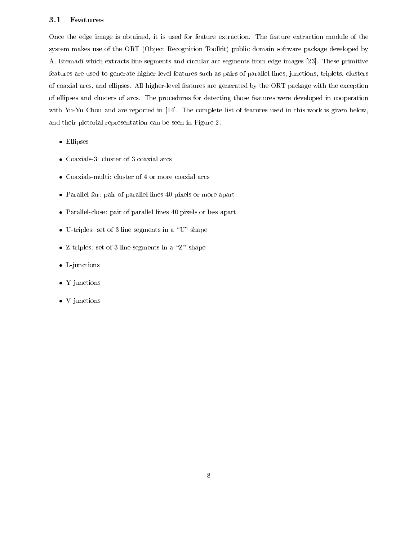### 3.1 Features

Once the edge image is obtained, it is used for feature extraction. The feature extraction module of the system makes use of the ORT (Object Recognition Toolkit) public domain software package developed by A. Etemadi which extracts line segments and circular arc segments from edge images [23]. These primitive features are used to generate higher-level features such as pairs of parallel lines, junctions, triplets, clusters of coaxial arcs, and ellipses. All higher-level features are generated by the ORT package with the exception of ellipses and clusters of arcs. The procedures for detecting those features were developed in cooperation with Yu-Yu Chou and are reported in [14]. The complete list of features used in this work is given below, and their pictorial representation can be seen in Figure 2.

- Ellipses
- Coaxials-3: cluster of 3 coaxial arcs
- Coaxials-multi: cluster of 4 or more coaxial arcs
- Parallel-far: pair of parallel lines 40 pixels or more apart
- Parallel-close: pair of parallel lines 40 pixels or less apart
- $\bullet$  U-triples: set of 3 line segments in a "U" shape
- $\bullet$  Z-triples: set of 3 line segments in a "Z" shape
- L-junctions
- Y-junctions
- V-junctions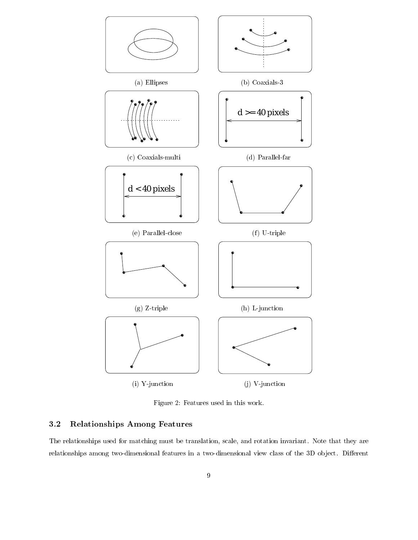

Figure 2: Features used in this work.

# 3.2 Relationships Among Features

The relationships used for matching must be translation, scale, and rotation invariant. Note that they are relationships among two-dimensional features in a two-dimensional view class of the 3D object. Different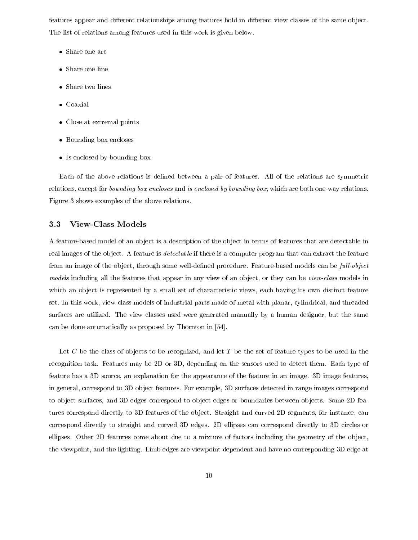features appear and different relationships among features hold in different view classes of the same object. The list of relations among features used in this work is given below.

- Share one arc
- Share one line
- Share two lines
- Coaxial
- Close at extremal points
- Bounding box encloses
- Is enclosed by bounding box

Each of the above relations is defined between a pair of features. All of the relations are symmetric relations, except for bounding box encloses and is enclosed by bounding box, which are both one-way relations. Figure 3 shows examples of the above relations.

### 3.3 View-Class Models

A feature-based model of an ob ject is a description of the ob ject in terms of features that are detectable in real images of the object. A feature is *detectable* if there is a computer program that can extract the feature from an image of the object, through some well-defined procedure. Feature-based models can be full-object models including all the features that appear in any view of an object, or they can be view-class models in which an object is represented by a small set of characteristic views, each having its own distinct feature set. In this work, view-class models of industrial parts made of metal with planar, cylindrical, and threaded surfaces are utilized. The view classes used were generated manually by a human designer, but the same can be done automatically as proposed by Thornton in [54].

Let  $C$  be the class of objects to be recognized, and let  $T$  be the set of feature types to be used in the recognition task. Features may be 2D or 3D, depending on the sensors used to detect them. Each type of feature has a 3D source, an explanation for the appearance of the feature in an image. 3D image features, in general, correspond to 3D object features. For example, 3D surfaces detected in range images correspond to object surfaces, and 3D edges correspond to object edges or boundaries between objects. Some 2D features correspond directly to 3D features of the object. Straight and curved 2D segments, for instance, can correspond directly to straight and curved 3D edges. 2D ellipses can correspond directly to 3D circles or ellipses. Other 2D features come about due to a mixture of factors including the geometry of the ob ject, the viewpoint, and the lighting. Limb edges are viewpoint dependent and have no corresponding 3D edge at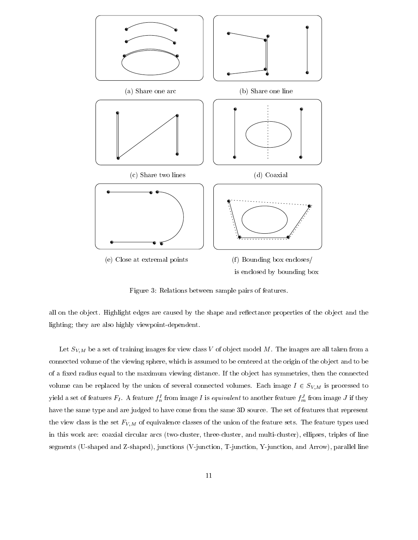

Figure 3: Relations between sample pairs of features.

all on the object. Highlight edges are caused by the shape and reflectance properties of the object and the lighting; they are also highly viewpoint-dependent.

Let  $S_{V,M}$  be a set of training images for view class V of object model M. The images are all taken from a connected volume of the viewing sphere, which is assumed to be centered at the origin of the ob ject and to be of a fixed radius equal to the maximum viewing distance. If the object has symmetries, then the connected volume can be replaced by the union of several connected volumes. Each image  $I \in S_{V,M}$  is processed to yield a set of features  $F_I$ . A feature  $f_n^I$  from image I is *equivalent* to another feature  $f_m^J$  from image J if they have the same type and are judged to have come from the same 3D source. The set of features that represent the view class is the set  $F_{V,M}$  of equivalence classes of the union of the feature sets. The feature types used in this work are: coaxial circular arcs (two-cluster, three-cluster, and multi-cluster), ellipses, triples of line segments (U-shaped and Z-shaped), junctions (V-junction, T-junction, Y-junction, and Arrow), parallel line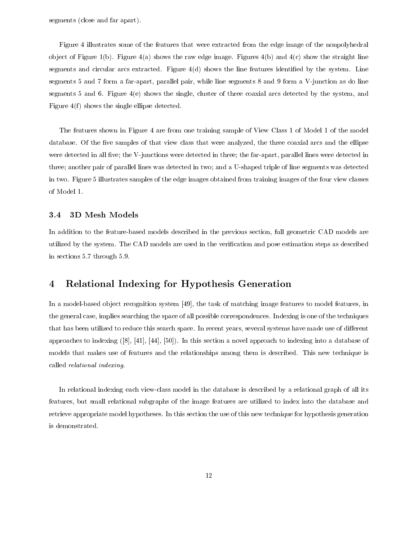segments (close and far apart).

Figure 4 illustrates some of the features that were extracted from the edge image of the nonpolyhedral object of Figure 1(b). Figure 4(a) shows the raw edge image. Figures 4(b) and 4(c) show the straight line segments and circular arcs extracted. Figure  $4(d)$  shows the line features identified by the system. Line segments 5 and 7 form a far-apart, parallel pair, while line segments 8 and 9 form a V-junction as do line segments 5 and 6. Figure 4(e) shows the single, cluster of three coaxial arcs detected by the system, and Figure  $4(f)$  shows the single ellipse detected.

The features shown in Figure 4 are from one training sample of View Class 1 of Model 1 of the model database. Of the five samples of that view class that were analyzed, the three coaxial arcs and the ellipse were detected in all five; the V-junctions were detected in three; the far-apart, parallel lines were detected in three; another pair of parallel lines was detected in two; and a U-shaped triple of line segments was detected in two. Figure 5 illustrates samples of the edge images obtained from training images of the four view classes of Model 1.

#### 3.4 3D Mesh Models

In addition to the feature-based models described in the previous section, full geometric CAD models are utilized by the system. The CAD models are used in the verication and pose estimation steps as described in sections 5.7 through 5.9.

# 4 Relational Indexing for Hypothesis Generation

In a model-based object recognition system [49], the task of matching image features to model features, in the general case, implies searching the space of all possible correspondences. Indexing is one of the techniques that has been utilized to reduce this search space. In recent years, several systems have made use of different approaches to indexing ([8], [41], [44], [50]). In this section a novel approach to indexing into a database of models that makes use of features and the relationships among them is described. This new technique is called relational indexing.

In relational indexing each view-class model in the database is described by a relational graph of all its features, but small relational subgraphs of the image features are utilized to index into the database and retrieve appropriate model hypotheses. In this section the use of this new technique for hypothesis generation is demonstrated.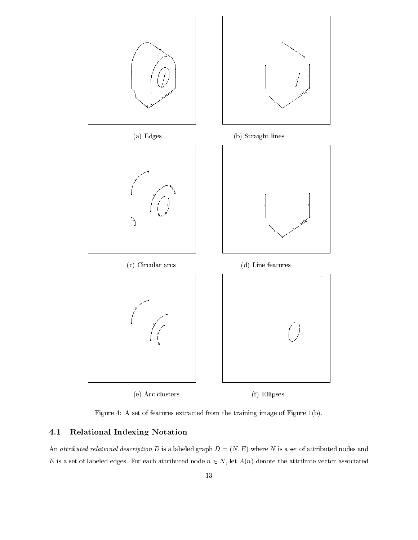

Figure 4: A set of features extracted from the training image of Figure 1(b).

## 4.1 Relational Indexing Notation

An attributed relational description D is a labeled graph  $D = (N, E)$  where N is a set of attributed nodes and E is a set of labeled edges. For each attributed node  $n \in N$ , let  $A(n)$  denote the attribute vector associated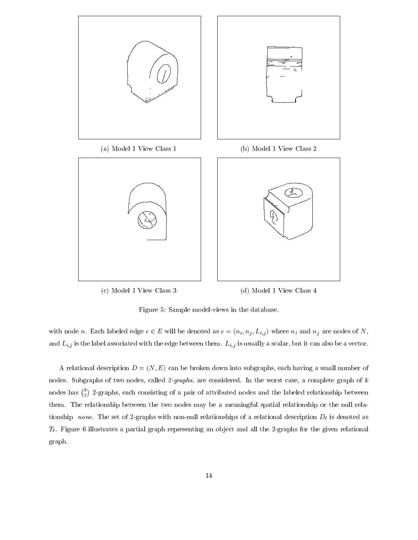

(c) Model 1 View Class 3 (d) Model 1 View Class 4

Figure 5: Sample model-views in the database.

with node n. Each labeled edge  $e \in E$  will be denoted as  $e = (n_i, n_j, L_{i,j})$  where  $n_i$  and  $n_j$  are nodes of N, and  $L_{i,j}$  is the label associated with the edge between them.  $L_{i,j}$  is usually a scalar, but it can also be a vector.

A relational description  $D = (N, E)$  can be broken down into subgraphs, each having a small number of nodes. Subgraphs of two nodes, called 2-graphs, are considered. In the worst case, a complete graph of  $k$ nodes has  $\binom{k}{2}$  2-graphs, each consisting of a pair of attributed nodes and the labeled relationship between them. The relationship between the two nodes may be a meaningful spatial relationship or the null relationship none. The set of 2-graphs with non-null relationships of a relational description  $D_l$  is denoted as  $T_l$ . Figure 6 illustrates a partial graph representing an object and all the 2-graphs for the given relational graph.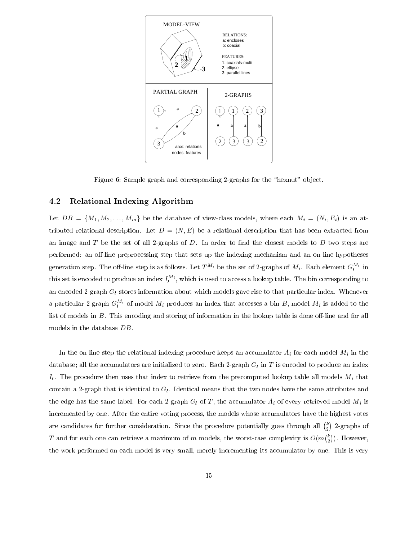

Figure 6: Sample graph and corresponding 2-graphs for the "hexnut" object.

## 4.2 Relational Indexing Algorithm

Let  $DB = \{M_1, M_2, \ldots, M_m\}$  be the database of view-class models, where each  $M_i = (N_i, E_i)$  is an attributed relational description. Let  $D = (N, E)$  be a relational description that has been extracted from an image and  $T$  be the set of all 2-graphs of  $D$ . In order to find the closest models to  $D$  two steps are performed: an off-line preprocessing step that sets up the indexing mechanism and an on-line hypotheses generation step. The off-line step is as follows. Let  $I^{(m)}$  be the set of 2-graphs of  $M_i$ . Each element  $G_l^{(n)}$  in this set is encoded to produce an index  $I_l^{-1},$  which is used to access a lookup table. The bin corresponding to an encoded 2-graph  $G_l$  stores information about which models gave rise to that particular index. Whenever a particular 2-graph  $G_l^{\text{max}}$  of model  $M_i$  produces an index that accesses a bin  $B,$  model  $M_i$  is added to the list of models in  $B$ . This encoding and storing of information in the lookup table is done off-line and for all models in the database DB.

In the on-line step the relational indexing procedure keeps an accumulator  $A_i$  for each model  $M_i$  in the database; all the accumulators are initialized to zero. Each 2-graph  $G_l$  in T is encoded to produce an index  $I_l$ . The procedure then uses that index to retrieve from the precomputed lookup table all models  $M_i$  that contain a 2-graph that is identical to  $G_l$ . Identical means that the two nodes have the same attributes and the edge has the same label. For each 2-graph  $G_l$  of T, the accumulator  $A_i$  of every retrieved model  $M_i$  is incremented by one. After the entire voting process, the models whose accumulators have the highest votes are candidates for further consideration. Since the procedure potentially goes through all  $\binom{k}{2}$  2-graphs of T and for each one can retrieve a maximum of m models, the worst-case complexity is O(m  $\binom{k}{2}$ . However, the work performed on each model is very small, merely incrementing its accumulator by one. This is very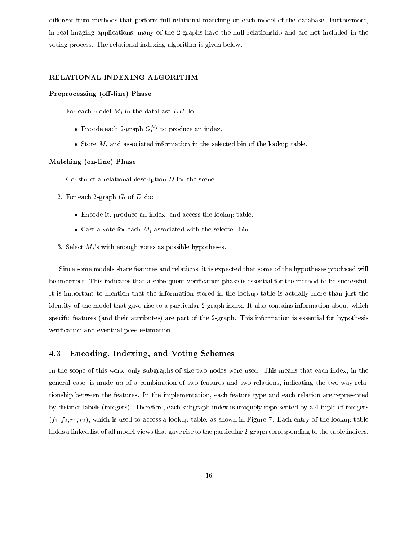different from methods that perform full relational matching on each model of the database. Furthermore, in real imaging applications, many of the 2-graphs have the null relationship and are not included in the voting process. The relational indexing algorithm is given below.

#### RELATIONAL INDEXING ALGORITHM

#### Preprocessing (off-line) Phase

- 1. For each model  $M_i$  in the database DB do:
	- $\bullet\,$  Encode each 2-graph  $G_l^{\rm rec}$  to produce an index.
	- $\bullet$  Store  $M_i$  and associated information in the selected bin of the lookup table.

#### Matching (on-line) Phase

- 1. Construct a relational description D for the scene.
- 2. For each 2-graph  $G_l$  of D do:
	- Encode it, produce an index, and access the lookup table.
	- Cast a vote for each  $M_i$  associated with the selected bin.
- 3. Select  $M_i$ 's with enough votes as possible hypotheses.

Since some models share features and relations, it is expected that some of the hypotheses produced will be incorrect. This indicates that a subsequent verication phase is essential for the method to be successful. It is important to mention that the information stored in the lookup table is actually more than just the identity of the model that gave rise to a particular 2-graph index. It also contains information about which specific features (and their attributes) are part of the 2-graph. This information is essential for hypothesis verification and eventual pose estimation.

#### 4.3 4.3 Encoding, Indexing, and Voting Schemes

In the scope of this work, only subgraphs of size two nodes were used. This means that each index, in the general case, is made up of a combination of two features and two relations, indicating the two-way relationship between the features. In the implementation, each feature type and each relation are represented by distinct labels (integers). Therefore, each subgraph index is uniquely represented by a 4-tuple of integers  $(f_1, f_2, r_1, r_2)$ , which is used to access a lookup table, as shown in Figure 7. Each entry of the lookup table holds a linked list of all model-views that gave rise to the particular 2-graph corresponding to the table indices.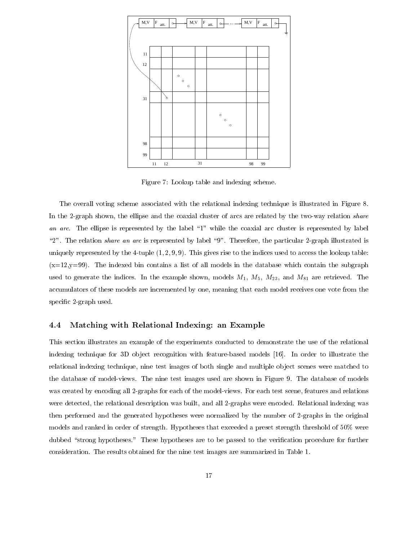

Figure 7: Lookup table and indexing scheme.

The overall voting scheme associated with the relational indexing technique is illustrated in Figure 8. In the 2-graph shown, the ellipse and the coaxial cluster of arcs are related by the two-way relation *share* an arc. The ellipse is represented by the label "1" while the coaxial arc cluster is represented by label "2". The relation *share an arc* is represented by label "9". Therefore, the particular 2-graph illustrated is uniquely represented by the 4-tuple  $(1, 2, 9, 9)$ . This gives rise to the indices used to access the lookup table:  $(x=12,y=99)$ . The indexed bin contains a list of all models in the database which contain the subgraph used to generate the indices. In the example shown, models  $M_1$ ,  $M_5$ ,  $M_{23}$ , and  $M_{81}$  are retrieved. The accumulators of these models are incremented by one, meaning that each model receives one vote from the specific 2-graph used.

#### 4.4 Matching with Relational Indexing: an Example

This section illustrates an example of the experiments conducted to demonstrate the use of the relational indexing technique for 3D object recognition with feature-based models [16]. In order to illustrate the relational indexing technique, nine test images of both single and multiple object scenes were matched to the database of model-views. The nine test images used are shown in Figure 9. The database of models was created by encoding all 2-graphs for each of the model-views. For each test scene, features and relations were detected, the relational description was built, and all 2-graphs were encoded. Relational indexing was then performed and the generated hypotheses were normalized by the number of 2-graphs in the original models and ranked in order of strength. Hypotheses that exceeded a preset strength threshold of 50% were dubbed "strong hypotheses." These hypotheses are to be passed to the verification procedure for further consideration. The results obtained for the nine test images are summarized in Table 1.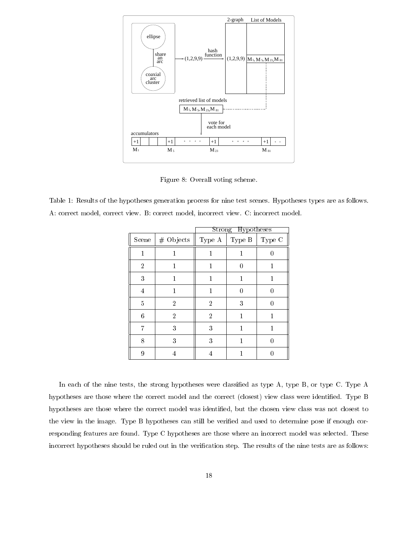

Figure 8: Overall voting scheme.

Table 1: Results of the hypotheses generation process for nine test scenes. Hypotheses types are as follows. A: correct model, correct view. B: correct model, incorrect view. C: incorrect model.

|                  |                | Strong Hypotheses                                        |   |  |
|------------------|----------------|----------------------------------------------------------|---|--|
| Scene            | # Objects      | $\parallel$ Type A $\parallel$ Type B $\parallel$ Type C |   |  |
|                  |                |                                                          |   |  |
| $\sqrt{2}$       |                |                                                          | 0 |  |
| 3                |                |                                                          |   |  |
| $\overline{4}$   |                | 1                                                        | 0 |  |
| $\overline{5}$   | $\overline{2}$ | $\overline{2}$                                           | 3 |  |
| $\boldsymbol{6}$ | $\overline{2}$ | $\overline{2}$                                           | 1 |  |
| 7                | 3              | 3                                                        |   |  |
| 8                | 3              | 3                                                        | 1 |  |
| 9                | 4              | 4                                                        |   |  |

In each of the nine tests, the strong hypotheses were classified as type A, type B, or type C. Type A hypotheses are those where the correct model and the correct (closest) view class were identied. Type B hypotheses are those where the correct model was identied, but the chosen view class was not closest to the view in the image. Type B hypotheses can still be veried and used to determine pose if enough corresponding features are found. Type C hypotheses are those where an incorrect model was selected. These incorrect hypotheses should be ruled out in the verication step. The results of the nine tests are as follows: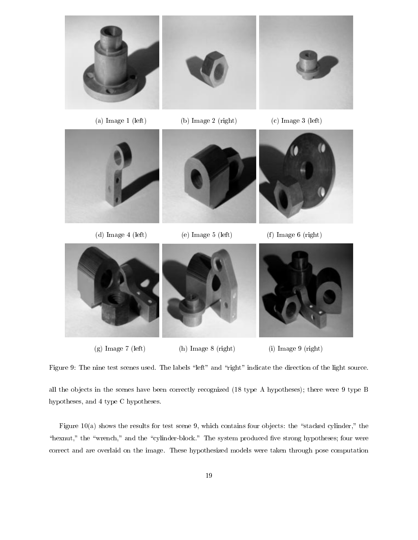





(a) Image 1 (left) (b) Image 2 (right) (c) Image 3 (left)







(d) Image  $4$  (left) (e) Image  $5$  (left) (f) Image  $6$  (right)



Figure 9: The nine test scenes used. The labels "left" and "right" indicate the direction of the light source.

all the objects in the scenes have been correctly recognized (18 type A hypotheses); there were 9 type B hypotheses, and 4 type C hypotheses.

Figure 10(a) shows the results for test scene 9, which contains four objects: the "stacked cylinder," the "hexnut," the "wrench," and the "cylinder-block." The system produced five strong hypotheses; four were correct and are overlaid on the image. These hypothesized models were taken through pose computation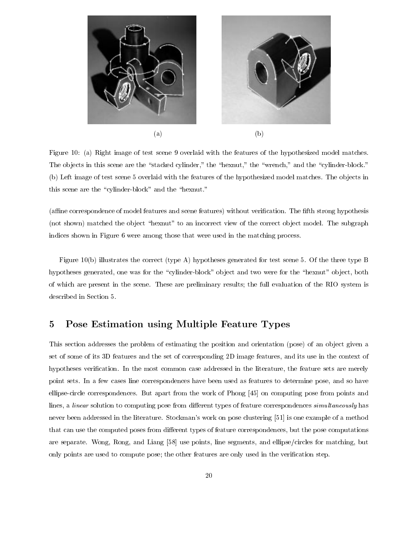

Figure 10: (a) Right image of test scene 9 overlaid with the features of the hypothesized model matches. The objects in this scene are the "stacked cylinder," the "hexnut," the "wrench," and the "cylinder-block." (b) Left image of test scene 5 overlaid with the features of the hypothesized model matches. The ob jects in this scene are the "cylinder-block" and the "hexnut."

(affine correspondence of model features and scene features) without verification. The fifth strong hypothesis (not shown) matched the object "hexnut" to an incorrect view of the correct object model. The subgraph indices shown in Figure 6 were among those that were used in the matching process.

Figure 10(b) illustrates the correct (type A) hypotheses generated for test scene 5. Of the three type B hypotheses generated, one was for the "cylinder-block" object and two were for the "hexnut" object, both of which are present in the scene. These are preliminary results; the full evaluation of the RIO system is described in Section 5.

# 5 Pose Estimation using Multiple Feature Types

This section addresses the problem of estimating the position and orientation (pose) of an object given a set of some of its 3D features and the set of corresponding 2D image features, and its use in the context of hypotheses verification. In the most common case addressed in the literature, the feature sets are merely point sets. In a few cases line correspondences have been used as features to determine pose, and so have ellipse-circle correspondences. But apart from the work of Phong [45] on computing pose from points and lines, a *linear* solution to computing pose from different types of feature correspondences *simultaneously* has never been addressed in the literature. Stockman's work on pose clustering [51] is one example of a method that can use the computed poses from different types of feature correspondences, but the pose computations are separate. Wong, Rong, and Liang [58] use points, line segments, and ellipse/circles for matching, but only points are used to compute pose; the other features are only used in the verication step.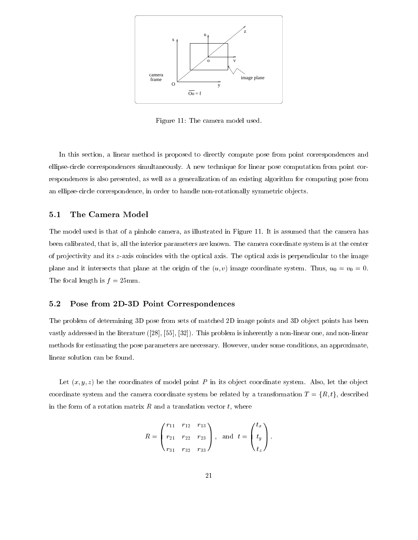

Figure 11: The camera model used.

In this section, a linear method is proposed to directly compute pose from point correspondences and ellipse-circle correspondences simultaneously. A new technique for linear pose computation from point correspondences is also presented, as well as a generalization of an existing algorithm for computing pose from an ellipse-circle correspondence, in order to handle non-rotationally symmetric ob jects.

### 5.1 The Camera Model

The model used is that of a pinhole camera, as illustrated in Figure 11. It is assumed that the camera has been calibrated, that is, all the interior parameters are known. The camera coordinate system is at the center of projectivity and its  $z$ -axis coincides with the optical axis. The optical axis is perpendicular to the image plane and it intersects that plane at the origin of the  $(u, v)$  image coordinate system. Thus,  $u_0 = v_0 = 0$ . The focal length is  $f = 25$ mm.

### 5.2 Pose from 2D-3D Point Correspondences

The problem of determining 3D pose from sets of matched 2D image points and 3D object points has been vastly addressed in the literature ([28], [55], [32]). This problem is inherently a non-linear one, and non-linear methods for estimating the pose parameters are necessary. However, under some conditions, an approximate, linear solution can be found.

Let  $(x, y, z)$  be the coordinates of model point P in its object coordinate system. Also, let the object coordinate system and the camera coordinate system be related by a transformation  $T = \{R, t\}$ , described in the form of a rotation matrix  $R$  and a translation vector  $t$ , where

$$
R = \begin{pmatrix} r_{11} & r_{12} & r_{13} \\ r_{21} & r_{22} & r_{23} \\ r_{31} & r_{32} & r_{33} \end{pmatrix}, \text{ and } t = \begin{pmatrix} t_x \\ t_y \\ t_z \end{pmatrix}.
$$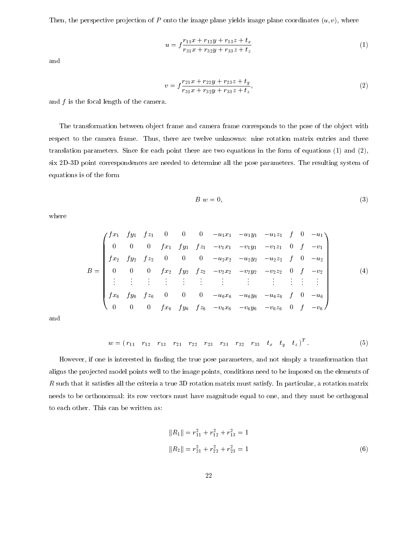Then, the perspective projection of P onto the image plane yields image plane coordinates  $(u, v)$ , where

$$
u = f \frac{r_{11}x + r_{12}y + r_{13}z + t_x}{r_{31}x + r_{32}y + r_{33}z + t_z}
$$
 (1)

and

$$
v = f \frac{r_{21}x + r_{22}y + r_{23}z + t_y}{r_{31}x + r_{32}y + r_{33}z + t_z},\tag{2}
$$

and  $f$  is the focal length of the camera.

The transformation between object frame and camera frame corresponds to the pose of the object with respect to the camera frame. Thus, there are twelve unknowns: nine rotation matrix entries and three translation parameters. Since for each point there are two equations in the form of equations (1) and (2), six 2D-3D point correspondences are needed to determine all the pose parameters. The resulting system of equations is of the form

$$
B \ w = 0,\tag{3}
$$

where

B = 0 B B B B B B B B B B B B B @ f x1 f y1 f z1 <sup>0</sup> <sup>0</sup> <sup>0</sup> u1x1 u1y1 u1z1 <sup>f</sup> <sup>0</sup> u1 <sup>0</sup> <sup>0</sup> <sup>0</sup> f x1 f y1 f z1 v1x1 v1y1 v1z1 <sup>0</sup> <sup>f</sup> v1 f x2 f y2 f z2 <sup>0</sup> <sup>0</sup> <sup>0</sup> u2x2 u2y2 u2z2 <sup>f</sup> <sup>0</sup> u2 <sup>0</sup> <sup>0</sup> <sup>0</sup> f x2 f y2 f z2 v2x2 v2y2 v2z2 <sup>0</sup> <sup>f</sup> v2 . . . f x6 f y6 f z6 <sup>0</sup> <sup>0</sup> <sup>0</sup> u6x6 u6y6 u6z6 <sup>f</sup> <sup>0</sup> u6 <sup>0</sup> <sup>0</sup> <sup>0</sup> f x6 f y6 f z6 v6x6 v6y6 v6z6 <sup>0</sup> <sup>f</sup> v6 1 C C C C C C C C C C C C C A (4)

and

$$
w = (r_{11} \quad r_{12} \quad r_{13} \quad r_{21} \quad r_{22} \quad r_{23} \quad r_{31} \quad r_{32} \quad r_{33} \quad t_x \quad t_y \quad t_z)^T. \tag{5}
$$

However, if one is interested in finding the true pose parameters, and not simply a transformation that aligns the projected model points well to the image points, conditions need to be imposed on the elements of  $R$  such that it satisfies all the criteria a true 3D rotation matrix must satisfy. In particular, a rotation matrix needs to be orthonormal: its row vectors must have magnitude equal to one, and they must be orthogonal to each other. This can be written as:

$$
||R_1|| = r_{11}^2 + r_{12}^2 + r_{13}^2 = 1
$$
  

$$
||R_2|| = r_{21}^2 + r_{22}^2 + r_{23}^2 = 1
$$
 (6)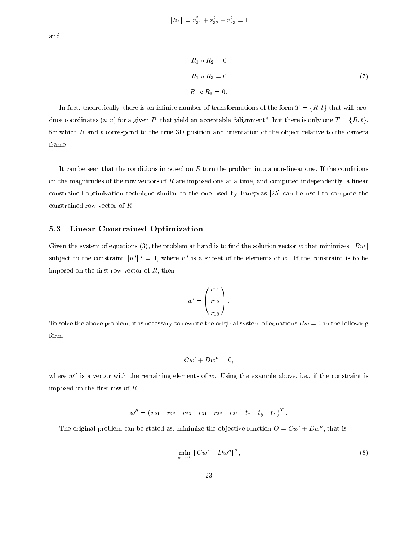$$
||R_3|| = r_{31}^2 + r_{32}^2 + r_{33}^2 = 1
$$

and

$$
R_1 \circ R_2 = 0
$$
  
\n
$$
R_1 \circ R_3 = 0
$$
  
\n
$$
R_2 \circ R_3 = 0.
$$
  
\n(7)

In fact, theoretically, there is an infinite number of transformations of the form  $T = \{R, t\}$  that will produce coordinates  $(u, v)$  for a given P, that yield an acceptable "alignment", but there is only one  $T = \{R, t\}$ , for which  $R$  and  $t$  correspond to the true 3D position and orientation of the object relative to the camera frame.

 $\mathbb{R}^n$  of  $\mathbb{R}^n$  , and  $\mathbb{R}^n$  . The original  $\mathbb{R}^n$  is a contract of  $\mathbb{R}^n$  .

It can be seen that the conditions imposed on  $R$  turn the problem into a non-linear one. If the conditions on the magnitudes of the row vectors of  $R$  are imposed one at a time, and computed independently, a linear constrained optimization technique similar to the one used by Faugeras [25] can be used to compute the constrained row vector of R.

#### 5.3 Linear Constrained Optimization

Given the system of equations (3), the problem at hand is to find the solution vector w that minimizes  $||Bw||$ subject to the constraint  $||w'||^2 = 1$ , where w' is a subset of the elements of w. If the constraint is to be imposed on the first row vector of  $R$ , then

$$
w' = \begin{pmatrix} r_{11} \\ r_{12} \\ r_{13} \end{pmatrix}.
$$

To solve the above problem, it is necessary to rewrite the original system of equations  $Bw = 0$  in the following form

$$
Cw' + Dw'' = 0,
$$

where  $w''$  is a vector with the remaining elements of w. Using the example above, i.e., if the constraint is imposed on the first row of  $R$ ,

$$
w'' = (r_{21} \quad r_{22} \quad r_{23} \quad r_{31} \quad r_{32} \quad r_{33} \quad t_x \quad t_y \quad t_z)^T \, .
$$

The original problem can be stated as: minimize the objective function  $O = Cw' + Dw''$ , that is

$$
\min_{w',w''} \|Cw' + Dw''\|^2,\tag{8}
$$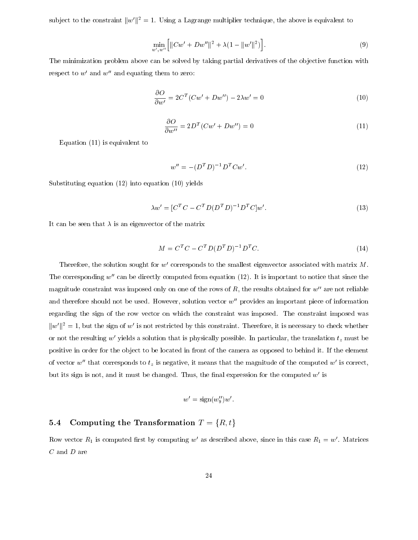subject to the constraint  $||w'||^2 = 1$ . Using a Lagrange multiplier technique, the above is equivalent to

$$
\min_{w',w''} \left[ \|Cw' + Dw''\|^2 + \lambda (1 - \|w'\|^2) \right]. \tag{9}
$$

The minimization problem above can be solved by taking partial derivatives of the objective function with respect to  $w'$  and  $w''$  and equating them to zero:

$$
\frac{\partial O}{\partial w'} = 2C^T(Cw' + Dw'') - 2\lambda w' = 0\tag{10}
$$

$$
\frac{\partial O}{\partial w''} = 2D^T(Cw' + Dw'') = 0\tag{11}
$$

Equation (11) is equivalent to

$$
w'' = -(D^T D)^{-1} D^T C w'. \tag{12}
$$

Substituting equation (12) into equation (10) yields

$$
\lambda w' = [C^T C - C^T D (D^T D)^{-1} D^T C] w'. \tag{13}
$$

It can be seen that  $\lambda$  is an eigenvector of the matrix

$$
M = C^{T}C - C^{T}D(D^{T}D)^{-1}D^{T}C.
$$
\n(14)

Therefore, the solution sought for  $w'$  corresponds to the smallest eigenvector associated with matrix  $M$ . The corresponding  $w''$  can be directly computed from equation (12). It is important to notice that since the magnitude constraint was imposed only on one of the rows of  $R$ , the results obtained for  $w''$  are not reliable and therefore should not be used. However, solution vector  $w''$  provides an important piece of information regarding the sign of the row vector on which the constraint was imposed. The constraint imposed was  $||w'||^2 = 1$ , but the sign of w' is not restricted by this constraint. Therefore, it is necessary to check whether or not the resulting w' yields a solution that is physically possible. In particular, the translation  $t_z$  must be positive in order for the object to be located in front of the camera as opposed to behind it. If the element of vector  $w''$  that corresponds to  $t_z$  is negative, it means that the magnitude of the computed  $w'$  is correct, but its sign is not, and it must be changed. Thus, the final expression for the computed  $w'$  is

$$
w' = \text{sign}(w_9'')w'.
$$

# 5.4 Computing the Transformation  $T = \{R, t\}$

Row vector  $R_1$  is computed first by computing w' as described above, since in this case  $R_1 = w'$ . Matrices C and D are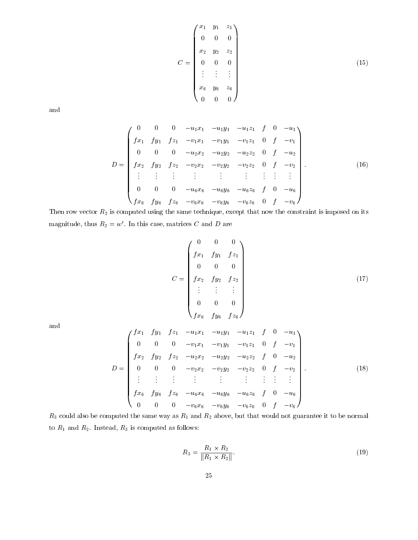$$
C = \begin{pmatrix} x_1 & y_1 & z_1 \\ 0 & 0 & 0 \\ x_2 & y_2 & z_2 \\ 0 & 0 & 0 \\ \vdots & \vdots & \vdots \\ x_6 & y_6 & z_6 \\ 0 & 0 & 0 \end{pmatrix}
$$
 (15)

and

$$
D = \begin{pmatrix} 0 & 0 & 0 & -u_1x_1 & -u_1y_1 & -u_1z_1 & f & 0 & -u_1 \\ f x_1 & f y_1 & f z_1 & -v_1x_1 & -v_1y_1 & -v_1z_1 & 0 & f & -v_1 \\ 0 & 0 & 0 & -u_2x_2 & -u_2y_2 & -u_2z_2 & 0 & f & -u_2 \\ f x_2 & f y_2 & f z_2 & -v_2x_2 & -v_2y_2 & -v_2z_2 & 0 & f & -v_2 \\ \vdots & \vdots & \vdots & \vdots & \vdots & \vdots & \vdots & \vdots \\ 0 & 0 & 0 & -u_6x_6 & -u_6y_6 & -u_6z_6 & f & 0 & -u_6 \\ f x_6 & f y_6 & f z_6 & -v_6x_6 & -v_6y_6 & -v_6z_6 & 0 & f & -v_6 \end{pmatrix} .
$$
 (16)

Then row vector  $R_2$  is computed using the same technique, except that now the constraint is imposed on its magnitude, thus  $R_2 = w'$ . In this case, matrices  $C$  and  $D$  are

$$
C = \begin{pmatrix} 0 & 0 & 0 \\ fx_1 & fy_1 & fz_1 \\ 0 & 0 & 0 \\ fx_2 & fy_2 & fz_2 \\ \vdots & \vdots & \vdots \\ 0 & 0 & 0 \\ fx_6 & fy_6 & fz_6 \end{pmatrix}
$$
 (17)

and

$$
D = \begin{pmatrix} fx_1 & fy_1 & fz_1 & -u_1x_1 & -u_1y_1 & -u_1z_1 & f & 0 & -u_1 \\ 0 & 0 & 0 & -v_1x_1 & -v_1y_1 & -v_1z_1 & 0 & f & -v_1 \\ fx_2 & fy_2 & fz_2 & -u_2x_2 & -u_2y_2 & -u_2z_2 & f & 0 & -u_2 \\ 0 & 0 & 0 & -v_2x_2 & -v_2y_2 & -v_2z_2 & 0 & f & -v_2 \\ \vdots & \vdots & \vdots & \vdots & \vdots & \vdots & \vdots & \vdots \\ fx_6 & fy_6 & fz_6 & -u_6x_6 & -u_6y_6 & -u_6z_6 & f & 0 & -u_6 \\ 0 & 0 & 0 & -v_6x_6 & -v_6y_6 & -v_6z_6 & 0 & f & -v_6 \end{pmatrix}
$$
(18)

 $R_3$  could also be computed the same way as  $R_1$  and  $R_2$  above, but that would not guarantee it to be normal to  $\mathcal{R}_1$  and  $\mathcal{R}_2.$  Instead,  $\mathcal{R}_3$  is computed as follows:

$$
R_3 = \frac{R_1 \times R_2}{\|R_1 \times R_2\|}.
$$
\n(19)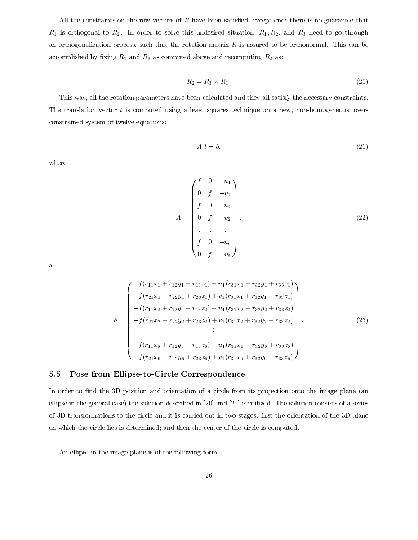All the constraints on the row vectors of  $R$  have been satisfied, except one: there is no guarantee that  $R_1$  is orthogonal to  $R_2$ . In order to solve this undesired situation,  $R_1, R_2$ , and  $R_3$  need to go through an orthogonalization process, such that the rotation matrix  $R$  is assured to be orthonormal. This can be accomplished by fixing  $R_1$  and  $R_3$  as computed above and recomputing  $R_2$  as:

$$
R_2 = R_3 \times R_1. \tag{20}
$$

This way, all the rotation parameters have been calculated and they all satisfy the necessary constraints. The translation vector  $t$  is computed using a least squares technique on a new, non-homogeneous, overconstrained system of twelve equations:

$$
A t = b,\t\t(21)
$$

where

$$
A = \begin{pmatrix} f & 0 & -u_1 \\ 0 & f & -v_1 \\ f & 0 & -u_2 \\ 0 & f & -v_2 \\ \vdots & \vdots & \vdots \\ f & 0 & -u_6 \\ 0 & f & -v_6 \end{pmatrix},
$$
 (22)

and

$$
b = \begin{pmatrix} -f(r_{11}x_1 + r_{12}y_1 + r_{13}z_1) + u_1(r_{31}x_1 + r_{32}y_1 + r_{33}z_1) \\ -f(r_{21}x_1 + r_{22}y_1 + r_{23}z_1) + v_1(r_{31}x_1 + r_{32}y_1 + r_{33}z_1) \\ -f(r_{11}x_2 + r_{12}y_2 + r_{13}z_2) + u_1(r_{31}x_2 + r_{32}y_2 + r_{33}z_2) \\ -f(r_{21}x_2 + r_{22}y_2 + r_{23}z_2) + v_1(r_{31}x_2 + r_{32}y_2 + r_{33}z_2) \\ \vdots \\ -f(r_{11}x_6 + r_{12}y_6 + r_{13}z_6) + u_1(r_{31}x_6 + r_{32}y_6 + r_{33}z_6) \\ -f(r_{21}x_6 + r_{22}y_6 + r_{23}z_6) + v_1(r_{31}x_6 + r_{32}y_6 + r_{33}z_6) \end{pmatrix}
$$
(23)

### 5.5 Pose from Ellipse-to-Circle Correspondence

In order to find the 3D position and orientation of a circle from its projection onto the image plane (an ellipse in the general case) the solution described in [20] and [21] is utilized. The solution consists of a series of 3D transformations to the circle and it is carried out in two stages: first the orientation of the 3D plane on which the circle lies is determined; and then the center of the circle is computed.

An ellipse in the image plane is of the following form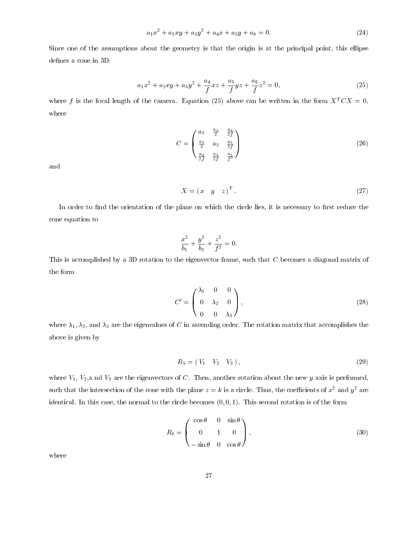$$
a_1x^2 + a_2xy + a_3y^2 + a_4x + a_5y + a_6 = 0.
$$
 (24)

Since one of the assumptions about the geometry is that the origin is at the principal point, this ellipse defines a cone in 3D:

$$
a_1x^2 + a_2xy + a_3y^2 + \frac{a_4}{f}xz + \frac{a_5}{f}yz + \frac{a_6}{f}z^2 = 0,
$$
\n(25)

where f is the focal length of the camera. Equation (25) above can be written in the form  $X^T C X = 0$ , where

$$
C = \begin{pmatrix} a_1 & \frac{a_2}{2} & \frac{a_4}{2f} \\ \frac{a_2}{2} & a_3 & \frac{a_5}{2f} \\ \frac{a_4}{2f} & \frac{a_5}{2f} & \frac{a_6}{f^2} \end{pmatrix}
$$
 (26)

and

$$
X = \begin{pmatrix} x & y & z \end{pmatrix}^T. \tag{27}
$$

In order to find the orientation of the plane on which the circle lies, it is necessary to first reduce the cone equation to

$$
\frac{x^2}{b_1} + \frac{y^2}{b_2} + \frac{z^2}{f^2} = 0.
$$

This is accomplished by a 3D rotation to the eigenvector frame, such that C becomes a diagonal matrix of the form

$$
C' = \begin{pmatrix} \lambda_1 & 0 & 0 \\ 0 & \lambda_2 & 0 \\ 0 & 0 & \lambda_3 \end{pmatrix},
$$
 (28)

where  $\lambda_1, \lambda_2$ , and  $\lambda_3$  are the eigenvalues of C in ascending order. The rotation matrix that accomplishes the above is given by

$$
R_{\lambda} = \begin{pmatrix} V_1 & V_2 & V_3 \end{pmatrix},\tag{29}
$$

where  $V_1$ ,  $V_2$ , and  $V_3$  are the eigenvectors of C. Then, another rotation about the new y axis is performed, such that the intersection of the cone with the plane  $z = k$  is a circle. Thus, the coefficients of  $x^2$  and  $y^2$  are identical. In this case, the normal to the circle becomes  $(0, 0, 1)$ . This second rotation is of the form

$$
R_{\theta} = \begin{pmatrix} \cos \theta & 0 & \sin \theta \\ 0 & 1 & 0 \\ -\sin \theta & 0 & \cos \theta \end{pmatrix},
$$
 (30)

where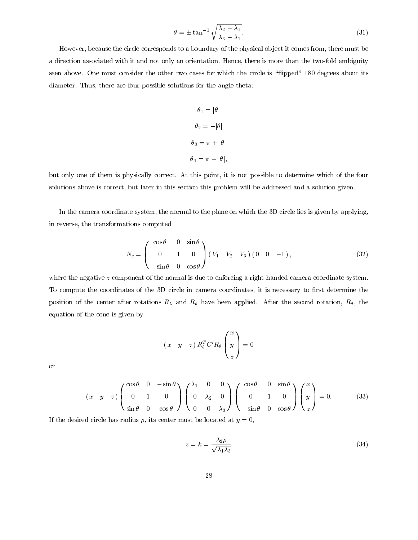$$
\theta = \pm \tan^{-1} \sqrt{\frac{\lambda_2 - \lambda_1}{\lambda_3 - \lambda_1}}.
$$
\n(31)

However, because the circle corresponds to a boundary of the physical object it comes from, there must be a direction associated with it and not only an orientation. Hence, there is more than the two-fold ambiguity seen above. One must consider the other two cases for which the circle is "flipped" 180 degrees about its diameter. Thus, there are four possible solutions for the angle theta:

$$
\theta_1 = |\theta|
$$
  
\n
$$
\theta_2 = -|\theta|
$$
  
\n
$$
\theta_3 = \pi + |\theta|
$$
  
\n
$$
\theta_4 = \pi - |\theta|,
$$

but only one of them is physically correct. At this point, it is not possible to determine which of the four solutions above is correct, but later in this section this problem will be addressed and a solution given.

In the camera coordinate system, the normal to the plane on which the 3D circle lies is given by applying, in reverse, the transformations computed

$$
N_c = \begin{pmatrix} \cos \theta & 0 & \sin \theta \\ 0 & 1 & 0 \\ -\sin \theta & 0 & \cos \theta \end{pmatrix} (V_1 \quad V_2 \quad V_3) (0 \quad 0 \quad -1), \tag{32}
$$

where the negative z component of the normal is due to enforcing a right-handed camera coordinate system. To compute the coordinates of the 3D circle in camera coordinates, it is necessary to first determine the position of the center after rotations  $R_{\lambda}$  and  $R_{\theta}$  have been applied. After the second rotation,  $R_{\theta}$ , the equation of the cone is given by

$$
(x \quad y \quad z) \, R_{\theta}^T C' R_{\theta} \begin{pmatrix} x \\ y \\ z \end{pmatrix} = 0
$$

or

$$
(x \quad y \quad z) \begin{pmatrix} \cos \theta & 0 & -\sin \theta \\ 0 & 1 & 0 \\ \sin \theta & 0 & \cos \theta \end{pmatrix} \begin{pmatrix} \lambda_1 & 0 & 0 \\ 0 & \lambda_2 & 0 \\ 0 & 0 & \lambda_3 \end{pmatrix} \begin{pmatrix} \cos \theta & 0 & \sin \theta \\ 0 & 1 & 0 \\ -\sin \theta & 0 & \cos \theta \end{pmatrix} \begin{pmatrix} x \\ y \\ z \end{pmatrix} = 0. \tag{33}
$$

If the desired circle has radius  $\rho$ , its center must be located at  $y = 0$ ,

$$
z = k = \frac{\lambda_2 \rho}{\sqrt{\lambda_1 \lambda_3}}\tag{34}
$$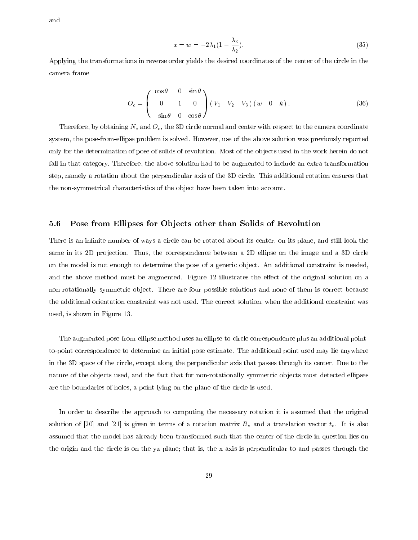and

$$
x = w = -2\lambda_1 \left(1 - \frac{\lambda_3}{\lambda_2}\right). \tag{35}
$$

Applying the transformations in reverse order yields the desired coordinates of the center of the circle in the camera frame

$$
O_c = \begin{pmatrix} \cos \theta & 0 & \sin \theta \\ 0 & 1 & 0 \\ -\sin \theta & 0 & \cos \theta \end{pmatrix} \begin{pmatrix} V_1 & V_2 & V_3 \end{pmatrix} \begin{pmatrix} w & 0 & k \end{pmatrix} . \tag{36}
$$

Therefore, by obtaining  $N_c$  and  $O_c$ , the 3D circle normal and center with respect to the camera coordinate system, the pose-from-ellipse problem is solved. However, use of the above solution was previously reported only for the determination of pose of solids of revolution. Most of the ob jects used in the work herein do not fall in that category. Therefore, the above solution had to be augmented to include an extra transformation step, namely a rotation about the perpendicular axis of the 3D circle. This additional rotation ensures that the non-symmetrical characteristics of the object have been taken into account.

#### Pose from Ellipses for Objects other than Solids of Revolution  $5.6$

There is an infinite number of ways a circle can be rotated about its center, on its plane, and still look the same in its 2D projection. Thus, the correspondence between a 2D ellipse on the image and a 3D circle on the model is not enough to determine the pose of a generic ob ject. An additional constraint is needed, and the above method must be augmented. Figure 12 illustrates the effect of the original solution on a non-rotationally symmetric ob ject. There are four possible solutions and none of them is correct because the additional orientation constraint was not used. The correct solution, when the additional constraint was used, is shown in Figure 13.

The augmented pose-from-ellipse method uses an ellipse-to-circle correspondence plus an additional pointto-point correspondence to determine an initial pose estimate. The additional point used may lie anywhere in the 3D space of the circle, except along the perpendicular axis that passes through its center. Due to the nature of the objects used, and the fact that for non-rotationally symmetric objects most detected ellipses are the boundaries of holes, a point lying on the plane of the circle is used.

In order to describe the approach to computing the necessary rotation it is assumed that the original solution of [20] and [21] is given in terms of a rotation matrix  $R_e$  and a translation vector  $t_e$ . It is also assumed that the model has already been transformed such that the center of the circle in question lies on the origin and the circle is on the yz plane; that is, the x-axis is perpendicular to and passes through the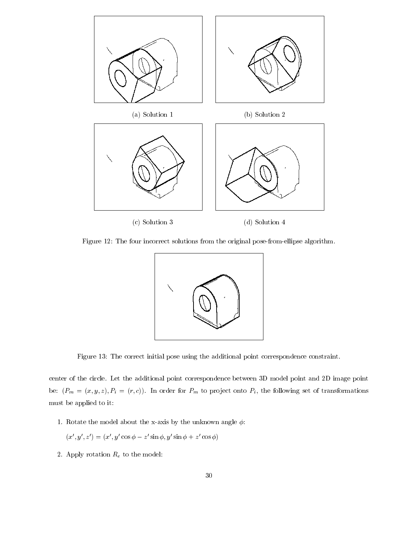

Figure 12: The four incorrect solutions from the original pose-from-ellipse algorithm.



Figure 13: The correct initial pose using the additional point correspondence constraint.

center of the circle. Let the additional point correspondence between 3D model point and 2D image point be:  $(P_m = (x, y, z), P_i = (r, c))$ . In order for  $P_m$  to project onto  $P_i$ , the following set of transformations must be applied to it:

- 1. Rotate the model about the x-axis by the unknown angle  $\phi$ :
	- $(x, y, z) = (x, y \cos \varphi z \sin \varphi, y \sin \varphi + z \cos \varphi)$
- 2. Apply rotation  $R_e$  to the model: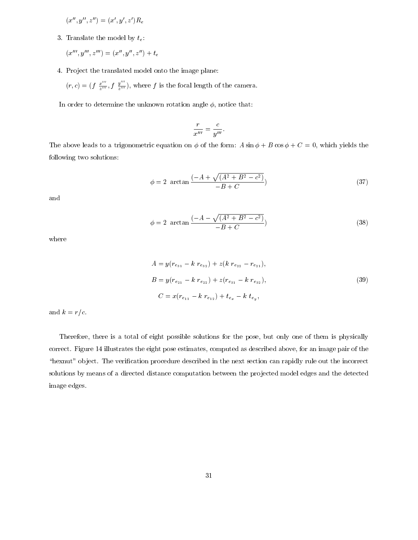$(x'', y'', z'') = (x', y', z')R_e$ 

3. Translate the model by  $t_e$ :

$$
(x''', y''', z''') = (x'', y'', z'') + t_e
$$

4. Project the translated model onto the image plane:

 $(r, c) = (f \frac{x^m}{z^m}, f \frac{y}{z^m})$ , where f is the focal length of the camera.

In order to determine the unknown rotation angle  $\phi$ , notice that:

$$
\frac{r}{x^{\prime\prime\prime}}=\frac{c}{y^{\prime\prime\prime}}.
$$

The above leads to a trigonometric equation on  $\phi$  of the form:  $A \sin \phi + B \cos \phi + C = 0$ , which yields the following two solutions:

$$
\phi = 2 \arctan \frac{(-A + \sqrt{(A^2 + B^2 - c^2)}}{-B + C})
$$
\n(37)

and

$$
\phi = 2 \arctan \frac{(-A - \sqrt{(A^2 + B^2 - c^2)}}{-B + C})
$$
\n(38)

where

$$
A = y(r_{e_{31}} - k r_{e_{32}}) + z(k r_{e_{22}} - r_{e_{21}}),
$$
  
\n
$$
B = y(r_{e_{21}} - k r_{e_{22}}) + z(r_{e_{31}} - k r_{e_{32}}),
$$
  
\n
$$
C = x(r_{e_{11}} - k r_{e_{12}}) + t_{e_x} - k t_{e_y},
$$
\n(39)

and  $k = r/c$ .

Therefore, there is a total of eight possible solutions for the pose, but only one of them is physically correct. Figure 14 illustrates the eight pose estimates, computed as described above, for an image pair of the "hexnut" object. The verification procedure described in the next section can rapidly rule out the incorrect solutions by means of a directed distance computation between the projected model edges and the detected image edges.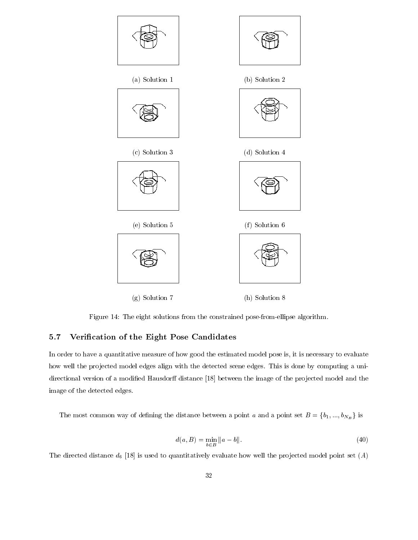

Figure 14: The eight solutions from the constrained pose-from-ellipse algorithm.

## 5.7 Verication of the Eight Pose Candidates

In order to have a quantitative measure of how good the estimated model pose is, it is necessary to evaluate how well the projected model edges align with the detected scene edges. This is done by computing a unidirectional version of a modified Hausdorff distance [18] between the image of the projected model and the image of the detected edges.

The most common way of defining the distance between a point a and a point set  $B = \{b_1, ..., b_{N_B}\}\$ is

$$
d(a, B) = \min_{b \in B} ||a - b||. \tag{40}
$$

The directed distance  $d_6$  [18] is used to quantitatively evaluate how well the projected model point set  $(A)$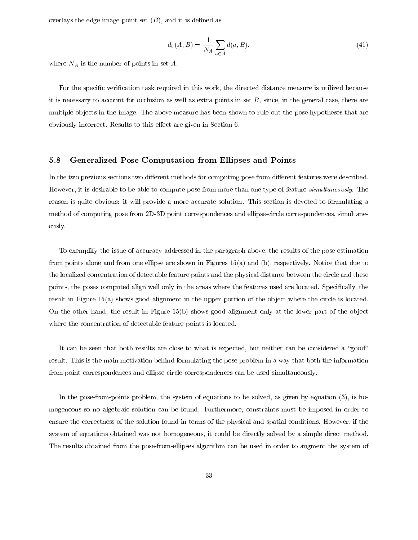overlays the edge image point set  $(B)$ , and it is defined as

$$
d_6(A, B) = \frac{1}{N_A} \sum_{a \in A} d(a, B),
$$
\n(41)

where  $N_A$  is the number of points in set  $A$ .

For the specific verification task required in this work, the directed distance measure is utilized because it is necessary to account for occlusion as well as extra points in set  $B$ , since, in the general case, there are multiple ob jects in the image. The above measure has been shown to rule out the pose hypotheses that are obviously incorrect. Results to this effect are given in Section 6.

#### $5.8$ 5.8 Generalized Pose Computation from Ellipses and Points

In the two previous sections two different methods for computing pose from different features were described. However, it is desirable to be able to compute pose from more than one type of feature simultaneously. The reason is quite obvious: it will provide a more accurate solution. This section is devoted to formulating a method of computing pose from 2D-3D point correspondences and ellipse-circle correspondences, simultaneously.

To exemplify the issue of accuracy addressed in the paragraph above, the results of the pose estimation from points alone and from one ellipse are shown in Figures 15(a) and (b), respectively. Notice that due to the localized concentration of detectable feature points and the physical distance between the circle and these points, the poses computed align well only in the areas where the features used are located. Specifically, the result in Figure 15(a) shows good alignment in the upper portion of the object where the circle is located. On the other hand, the result in Figure  $15(b)$  shows good alignment only at the lower part of the object where the concentration of detectable feature points is located.

It can be seen that both results are close to what is expected, but neither can be considered a "good" result. This is the main motivation behind formulating the pose problem in a way that both the information from point correspondences and ellipse-circle correspondences can be used simultaneously.

In the pose-from-points problem, the system of equations to be solved, as given by equation (3), is homogeneous so no algebraic solution can be found. Furthermore, constraints must be imposed in order to ensure the correctness of the solution found in terms of the physical and spatial conditions. However, if the system of equations obtained was not homogeneous, it could be directly solved by a simple direct method. The results obtained from the pose-from-ellipses algorithm can be used in order to augment the system of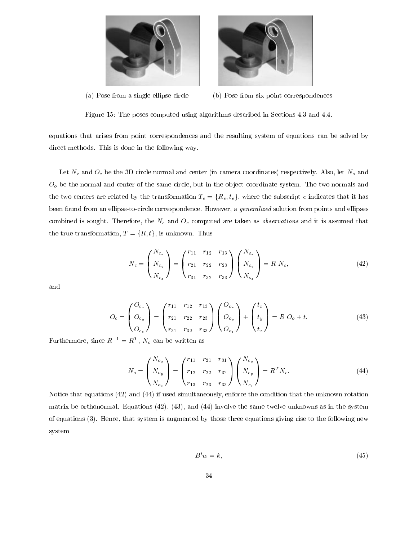



(a) Pose from a single ellipse-circle (b) Pose from six point correspondences

Figure 15: The poses computed using algorithms described in Sections 4.3 and 4.4.

equations that arises from point correspondences and the resulting system of equations can be solved by direct methods. This is done in the following way.

Let  $N_c$  and  $O_c$  be the 3D circle normal and center (in camera coordinates) respectively. Also, let  $N_o$  and  $O<sub>o</sub>$  be the normal and center of the same circle, but in the object coordinate system. The two normals and the two centers are related by the transformation  $T_e = \{R_e, t_e\}$ , where the subscript e indicates that it has been found from an ellipse-to-circle correspondence. However, a generalized solution from points and ellipses combined is sought. Therefore, the  $N_c$  and  $O_c$  computed are taken as *observations* and it is assumed that the true transformation,  $T = \{R, t\}$ , is unknown. Thus

$$
N_c = \begin{pmatrix} N_{c_x} \\ N_{c_y} \\ N_{c_z} \end{pmatrix} = \begin{pmatrix} r_{11} & r_{12} & r_{13} \\ r_{21} & r_{22} & r_{23} \\ r_{31} & r_{32} & r_{33} \end{pmatrix} \begin{pmatrix} N_{o_x} \\ N_{o_y} \\ N_{o_z} \end{pmatrix} = R N_o,
$$
 (42)

and

$$
O_c = \begin{pmatrix} O_{c_x} \\ O_{c_y} \\ O_{c_z} \end{pmatrix} = \begin{pmatrix} r_{11} & r_{12} & r_{13} \\ r_{21} & r_{22} & r_{23} \\ r_{31} & r_{32} & r_{33} \end{pmatrix} \begin{pmatrix} O_{o_x} \\ O_{o_y} \\ O_{o_z} \end{pmatrix} + \begin{pmatrix} t_x \\ t_y \\ t_z \end{pmatrix} = R \ O_o + t. \tag{43}
$$

Furthermore, since  $R^{-1} = R^{-1}$ ,  $N_{o}$  can be written as

$$
N_o = \begin{pmatrix} N_{o_x} \\ N_{o_y} \\ N_{o_z} \end{pmatrix} = \begin{pmatrix} r_{11} & r_{21} & r_{31} \\ r_{12} & r_{22} & r_{32} \\ r_{13} & r_{23} & r_{33} \end{pmatrix} \begin{pmatrix} N_{c_x} \\ N_{c_y} \\ N_{c_z} \end{pmatrix} = R^T N_c.
$$
 (44)

Notice that equations (42) and (44) if used simultaneously, enforce the condition that the unknown rotation matrix be orthonormal. Equations  $(42)$ ,  $(43)$ , and  $(44)$  involve the same twelve unknowns as in the system of equations (3). Hence, that system is augmented by those three equations giving rise to the following new system

$$
B'w = k,\tag{45}
$$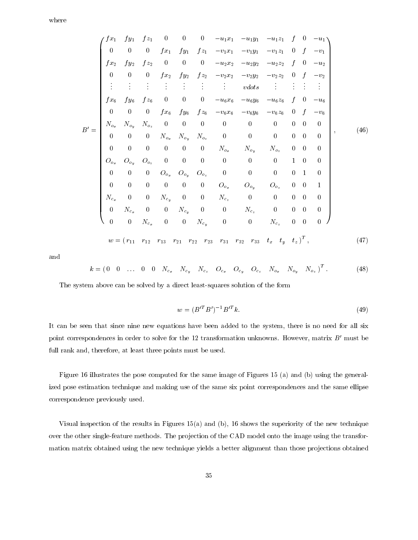where

$$
B' = \begin{pmatrix} fx_1 & fy_1 & fz_1 & 0 & 0 & 0 & -u_1x_1 & -u_1y_1 & -u_1z_1 & f & 0 & -u_1 \\ 0 & 0 & 0 & fx_1 & fy_1 & fz_1 & -v_1x_1 & -v_1y_1 & -v_1z_1 & 0 & f & -v_1 \\ fx_2 & fy_2 & fz_2 & 0 & 0 & 0 & -u_2x_2 & -u_2y_2 & -u_2z_2 & f & 0 & -u_2 \\ 0 & 0 & 0 & fx_2 & fy_2 & fz_2 & -v_2x_2 & -v_2y_2 & -v_2z_2 & 0 & f & -v_2 \\ \vdots & \vdots & \vdots & \vdots & \vdots & \vdots & \vdots & \vdots & \text{vdots} & \text{vdots} & \vdots & \vdots \\ fx_6 & fy_6 & fz_6 & 0 & 0 & 0 & -u_6x_6 & -u_6y_6 & -u_6z_6 & f & 0 & -u_6 \\ 0 & 0 & 0 & fx_6 & fy_6 & fz_6 & -v_6x_6 & -v_6y_6 & -v_6z_6 & 0 & f & -v_6 \\ 0 & 0 & 0 & 0 & 0 & 0 & 0 & 0 & 0 & 0 & 0 \\ 0 & 0 & 0 & 0 & 0 & 0 & 0 & 0 & 0 & 0 & 0 \\ 0 & 0 & 0 & 0 & 0 & 0 & 0 & 0 & 0 & 0 & 0 & 0 \\ 0 & 0 & 0 & 0 & 0 & 0 & 0 & 0 & 0 & 0 & 0 & 0 \\ 0 & 0 & 0 & 0 & 0 & 0 & 0 & 0 & 0 & 0 & 0 & 0 \\ 0 & 0 & 0 & 0 & 0 & 0 & 0 & 0 & 0 & 0 & 0 & 0 \\ 0 & 0 & 0 & 0 & 0 & 0 & 0 & 0 & 0 & 0 & 0 & 0 \\ 0 & 0 & 0 & 0 & 0 & 0 & 0 & 0 & 0 & 0 & 0 & 0 \\ 0 & 0 & 0 & 0 & 0 & 0 & 0 & 0 & 0 & 0 & 0 & 0 \\ 0 & 0 & 0 & 0 & 0 & 0 & 0 & 0 & 0 & 0 & 0 & 0 \\ 0 & 0 & 0 & 0 &
$$

and

$$
k = (0 \ 0 \ \dots \ 0 \ 0 \ N_{c_x} \ N_{c_y} \ N_{c_z} \ O_{c_x} \ O_{c_y} \ O_{c_z} \ N_{o_x} \ N_{o_y} \ N_{o_z})^T. \tag{48}
$$

The system above can be solved by a direct least-squares solution of the form

$$
w = (B'^T B')^{-1} B'^T k. \tag{49}
$$

It can be seen that since nine new equations have been added to the system, there is no need for all six point correspondences in order to solve for the 12 transformation unknowns. However, matrix  $B'$  must be full rank and, therefore, at least three points must be used.

Figure 16 illustrates the pose computed for the same image of Figures 15 (a) and (b) using the generalized pose estimation technique and making use of the same six point correspondences and the same ellipse correspondence previously used.

Visual inspection of the results in Figures 15(a) and (b), 16 shows the superiority of the new technique over the other single-feature methods. The projection of the CAD model onto the image using the transformation matrix obtained using the new technique yields a better alignment than those projections obtained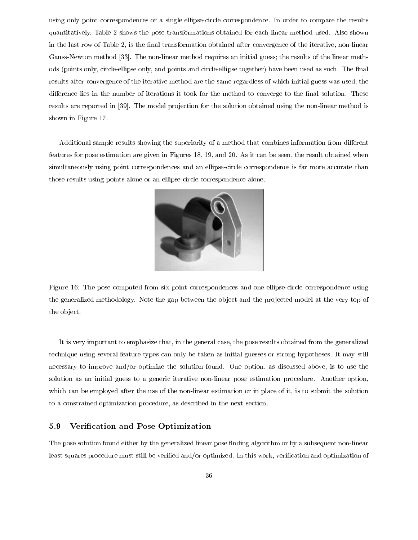using only point correspondences or a single ellipse-circle correspondence. In order to compare the results quantitatively, Table 2 shows the pose transformations obtained for each linear method used. Also shown in the last row of Table 2, is the final transformation obtained after convergence of the iterative, non-linear Gauss-Newton method [33]. The non-linear method requires an initial guess; the results of the linear methods (points only, circle-ellipse only, and points and circle-ellipse together) have been used as such. The final results after convergence of the iterative method are the same regardless of which initial guess was used; the difference lies in the number of iterations it took for the method to converge to the final solution. These results are reported in [39]. The model projection for the solution obtained using the non-linear method is shown in Figure 17.

Additional sample results showing the superiority of a method that combines information from different features for pose estimation are given in Figures 18, 19, and 20. As it can be seen, the result obtained when simultaneously using point correspondences and an ellipse-circle correspondence is far more accurate than those results using points alone or an ellipse-circle correspondence alone.



Figure 16: The pose computed from six point correspondences and one ellipse-circle correspondence using the generalized methodology. Note the gap between the object and the projected model at the very top of the ob ject.

It is very important to emphasize that, in the general case, the pose results obtained from the generalized technique using several feature types can only be taken as initial guesses or strong hypotheses. It may still necessary to improve and/or optimize the solution found. One option, as discussed above, is to use the solution as an initial guess to a generic iterative non-linear pose estimation procedure. Another option, which can be employed after the use of the non-linear estimation or in place of it, is to submit the solution to a constrained optimization procedure, as described in the next section.

#### Verification and Pose Optimization 5.9

The pose solution found either by the generalized linear pose finding algorithm or by a subsequent non-linear least squares procedure must still be verified and/or optimized. In this work, verification and optimization of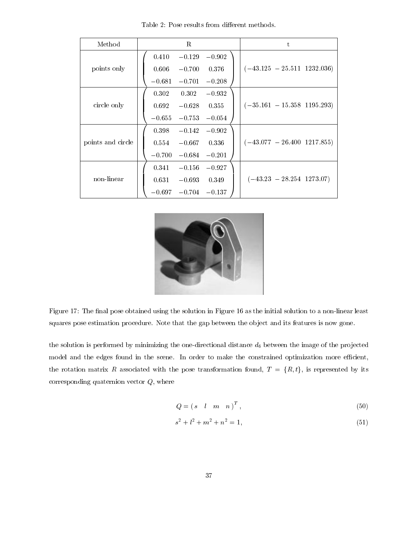Table 2: Pose results from different methods.

| Method            | R.                       | $+$                           |
|-------------------|--------------------------|-------------------------------|
|                   | $0.410 -0.129 -0.902$    |                               |
| points only       | $0.606$ $-0.700$ $0.376$ | $(-43.125 - 25.511 1232.036)$ |
|                   | $-0.681 - 0.701 - 0.208$ |                               |
|                   | $0.302$ $0.302$ $-0.932$ |                               |
| circle only       | $0.692 -0.628 0.355$     | $(-35.161 - 15.358 1195.293)$ |
|                   | $-0.655 -0.753 -0.054$   |                               |
|                   | $0.398 -0.142 -0.902$    |                               |
| points and circle | $0.554 -0.667 0.336$     | $(-43.077 - 26.400 1217.855)$ |
|                   | $-0.700 -0.684 -0.201$   |                               |
|                   | $0.341 -0.156 -0.927$    |                               |
| non-linear        | $0.631 -0.693 0.349$     | $(-43.23 - 28.254 1273.07)$   |
|                   | $-0.697 -0.704 -0.137$   |                               |



Figure 17: The final pose obtained using the solution in Figure 16 as the initial solution to a non-linear least squares pose estimation procedure. Note that the gap between the object and its features is now gone.

the solution is performed by minimizing the one-directional distance  $d_6$  between the image of the projected model and the edges found in the scene. In order to make the constrained optimization more efficient, the rotation matrix R associated with the pose transformation found,  $T = \{R, t\}$ , is represented by its corresponding quaternion vector  $Q$ , where

$$
Q = \begin{pmatrix} s & l & m & n \end{pmatrix}^T, \tag{50}
$$

$$
s^2 + l^2 + m^2 + n^2 = 1,\t\t(51)
$$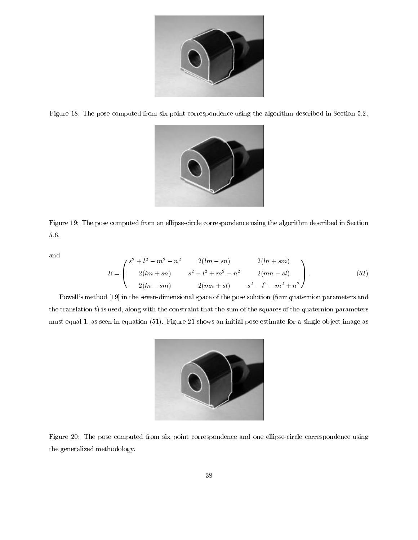

Figure 18: The pose computed from six point correspondence using the algorithm described in Section 5.2.



Figure 19: The pose computed from an ellipse-circle correspondence using the algorithm described in Section 5.6.

and

$$
R = \begin{pmatrix} s^2 + l^2 - m^2 - n^2 & 2(lm - sn) & 2(ln + sm) \\ 2(lm + sn) & s^2 - l^2 + m^2 - n^2 & 2(mn - sl) \\ 2(ln - sm) & 2(mn + sl) & s^2 - l^2 - m^2 + n^2 \end{pmatrix}.
$$
 (52)

Powell's method [19] in the seven-dimensional space of the pose solution (four quaternion parameters and the translation  $t$ ) is used, along with the constraint that the sum of the squares of the quaternion parameters must equal 1, as seen in equation (51). Figure 21 shows an initial pose estimate for a single-object image as



Figure 20: The pose computed from six point correspondence and one ellipse-circle correspondence using the generalized methodology.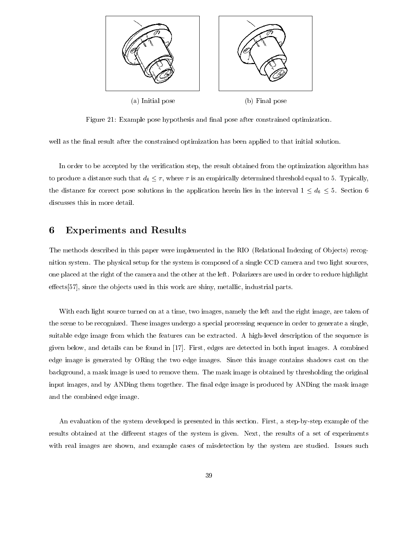

Figure 21: Example pose hypothesis and final pose after constrained optimization.

well as the final result after the constrained optimization has been applied to that initial solution.

In order to be accepted by the verification step, the result obtained from the optimization algorithm has to produce a distance such that  $d_6 \leq \tau$ , where  $\tau$  is an empirically determined threshold equal to 5. Typically, the distance for correct pose solutions in the application herein lies in the interval  $1 \leq d_6 \leq 5$ . Section 6 discusses this in more detail.

## 6 Experiments and Results

The methods described in this paper were implemented in the RIO (Relational Indexing of Objects) recognition system. The physical setup for the system is composed of a single CCD camera and two light sources, one placed at the right of the camera and the other at the left. Polarizers are used in order to reduce highlight  $\text{effects}[57]$ , since the objects used in this work are shiny, metallic, industrial parts.

With each light source turned on at a time, two images, namely the left and the right image, are taken of the scene to be recognized. These images undergo a special processing sequence in order to generate a single, suitable edge image from which the features can be extracted. A high-level description of the sequence is given below, and details can be found in [17]. First, edges are detected in both input images. A combined edge image is generated by ORing the two edge images. Since this image contains shadows cast on the background, a mask image is used to remove them. The mask image is obtained by thresholding the original input images, and by ANDing them together. The final edge image is produced by ANDing the mask image and the combined edge image.

An evaluation of the system developed is presented in this section. First, a step-by-step example of the results obtained at the different stages of the system is given. Next, the results of a set of experiments with real images are shown, and example cases of misdetection by the system are studied. Issues such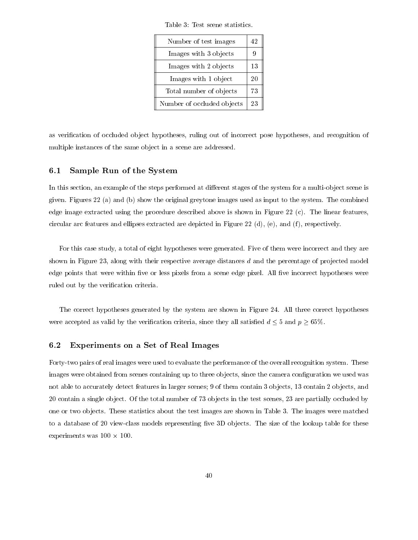Table 3: Test scene statistics.

| Number of test images      | 42 |  |
|----------------------------|----|--|
| Images with 3 objects      | 9  |  |
| Images with 2 objects      | 13 |  |
| Images with 1 object       | 20 |  |
| Total number of objects    | 73 |  |
| Number of occluded objects | 23 |  |

as verification of occluded object hypotheses, ruling out of incorrect pose hypotheses, and recognition of multiple instances of the same object in a scene are addressed.

### 6.1 Sample Run of the System

In this section, an example of the steps performed at different stages of the system for a multi-object scene is given. Figures 22 (a) and (b) show the original greytone images used as input to the system. The combined edge image extracted using the procedure described above is shown in Figure 22 (c). The linear features, circular arc features and ellipses extracted are depicted in Figure 22 (d), (e), and (f), respectively.

For this case study, a total of eight hypotheses were generated. Five of them were incorrect and they are shown in Figure 23, along with their respective average distances  $d$  and the percentage of projected model edge points that were within five or less pixels from a scene edge pixel. All five incorrect hypotheses were ruled out by the verification criteria.

The correct hypotheses generated by the system are shown in Figure 24. All three correct hypotheses were accepted as valid by the verification criteria, since they all satisfied  $d \leq 5$  and  $p \geq 65\%$ .

### 6.2 Experiments on a Set of Real Images

Forty-two pairs of real images were used to evaluate the performance of the overall recognition system. These images were obtained from scenes containing up to three objects, since the camera configuration we used was not able to accurately detect features in larger scenes; 9 of them contain 3 objects, 13 contain 2 objects, and 20 contain a single object. Of the total number of 73 objects in the test scenes, 23 are partially occluded by one or two ob jects. These statistics about the test images are shown in Table 3. The images were matched to a database of 20 view-class models representing five 3D objects. The size of the lookup table for these experiments was 100 - 100. The second was 100 - 100. The second was 100. The second was 100. The second was 100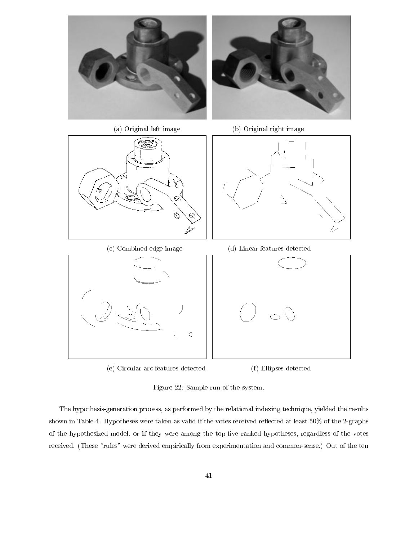

(e) Circular arc features detected (f) Ellipses detected



Figure 22: Sample run of the system.

The hypothesis-generation process, as performed by the relational indexing technique, yielded the results shown in Table 4. Hypotheses were taken as valid if the votes received reflected at least 50% of the 2-graphs of the hypothesized model, or if they were among the top five ranked hypotheses, regardless of the votes received. (These "rules" were derived empirically from experimentation and common-sense.) Out of the ten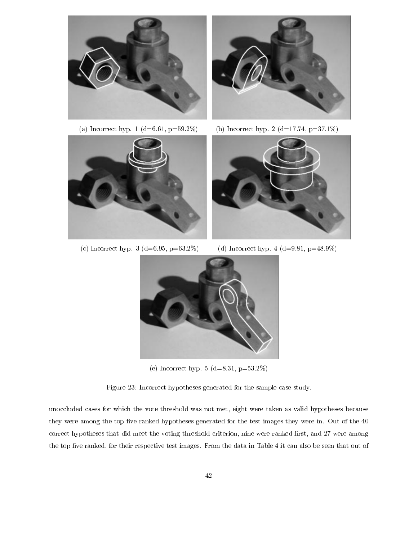

(a) Incorrect hyp. 1 (d=6.61, p=59.2%) (b) Incorrect hyp. 2 (d=17.74, p=37.1%)





(c) Incorrect hyp. 3 (d=6.95, p=63.2%) (d) Incorrect hyp. 4 (d=9.81, p=48.9%)





(e) Incorrect hyp. 5 (d=8.31, p=53.2%)

Figure 23: Incorrect hypotheses generated for the sample case study.

unoccluded cases for which the vote threshold was not met, eight were taken as valid hypotheses because they were among the top five ranked hypotheses generated for the test images they were in. Out of the 40 correct hypotheses that did meet the voting threshold criterion, nine were ranked first, and 27 were among the top five ranked, for their respective test images. From the data in Table 4 it can also be seen that out of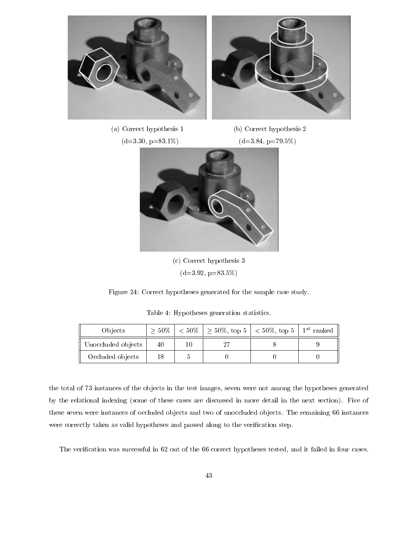



(a) Correct hypothesis 1 (b) Correct hypothesis 2

 $(d=3.30, p=83.1\%)$   $(d=3.84, p=79.5\%)$ 



(c) Correct hypothesis 3  $(d=3.92, p=83.5\%)$ 



| Objects            | $> 50\%$ | $ $ < 50% $ $ $\geq$ 50%, top 5 $ $ < 50%, top 5 $ $ 1 <sup>st</sup> ranked |  |
|--------------------|----------|-----------------------------------------------------------------------------|--|
| Unoccluded objects | 40       |                                                                             |  |
| Occluded objects   |          |                                                                             |  |

Table 4: Hypotheses generation statistics.

the total of 73 instances of the ob jects in the test images, seven were not among the hypotheses generated by the relational indexing (some of these cases are discussed in more detail in the next section). Five of these seven were instances of occluded objects and two of unoccluded objects. The remaining 66 instances were correctly taken as valid hypotheses and passed along to the verification step.

The verification was successful in 62 out of the 66 correct hypotheses tested, and it failed in four cases.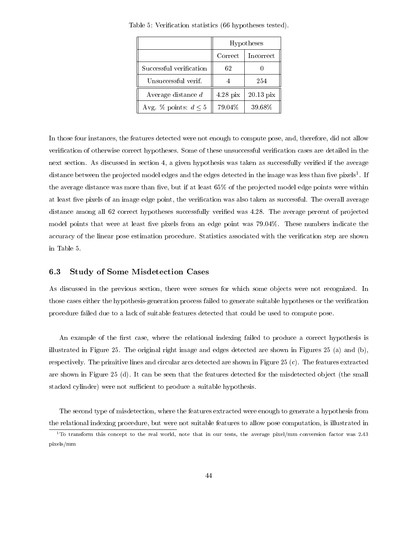|                           | Hypotheses |                     |  |
|---------------------------|------------|---------------------|--|
|                           | Correct    | <b>Incorrect</b>    |  |
| Successful verification   | 62         |                     |  |
| Unsuccessful verif.       |            | 254                 |  |
| Average distance d        | $4.28$ pix | $20.13 \text{ pix}$ |  |
| Avg. % points: $d \leq 5$ | 79.04%     | 39.68%              |  |

Table 5: Verification statistics (66 hypotheses tested).

In those four instances, the features detected were not enough to compute pose, and, therefore, did not allow verification of otherwise correct hypotheses. Some of these unsuccessful verification cases are detailed in the next section. As discussed in section 4, a given hypothesis was taken as successfully veried if the average distance between the projected model edges and the edges detected in the image was less than live pixels". The the average distance was more than five, but if at least 65% of the projected model edge points were within at least five pixels of an image edge point, the verification was also taken as successful. The overall average distance among all 62 correct hypotheses successfully verified was 4.28. The average percent of projected model points that were at least five pixels from an edge point was 79.04%. These numbers indicate the accuracy of the linear pose estimation procedure. Statistics associated with the verication step are shown in Table 5.

### 6.3 Study of Some Misdetection Cases

As discussed in the previous section, there were scenes for which some ob jects were not recognized. In those cases either the hypothesis-generation process failed to generate suitable hypotheses or the verification procedure failed due to a lack of suitable features detected that could be used to compute pose.

An example of the first case, where the relational indexing failed to produce a correct hypothesis is illustrated in Figure 25. The original right image and edges detected are shown in Figures 25 (a) and (b), respectively. The primitive lines and circular arcs detected are shown in Figure 25 (c). The features extracted are shown in Figure 25 (d). It can be seen that the features detected for the misdetected object (the small stacked cylinder) were not sufficient to produce a suitable hypothesis.

The second type of misdetection, where the features extracted were enough to generate a hypothesis from the relational indexing procedure, but were not suitable features to allow pose computation, is illustrated in

<sup>&</sup>lt;sup>1</sup>To transform this concept to the real world, note that in our tests, the average pixel/mm conversion factor was 2.43 pixels/mm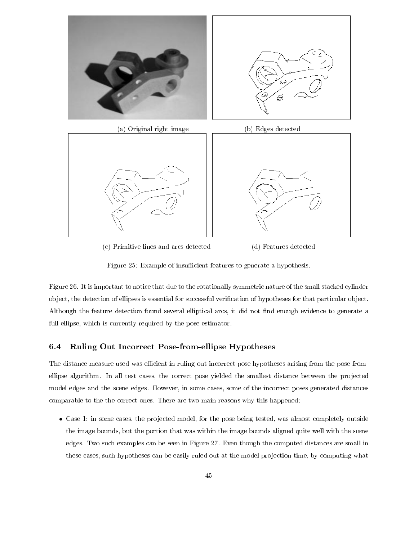

Figure 25: Example of insufficient features to generate a hypothesis.

Figure 26. It is important to notice that due to the rotationally symmetric nature of the small stacked cylinder ob ject, the detection of ellipses is essential for successful verication of hypotheses for that particular ob ject. Although the feature detection found several elliptical arcs, it did not find enough evidence to generate a full ellipse, which is currently required by the pose estimator.

## 6.4 Ruling Out Incorrect Pose-from-ellipse Hypotheses

The distance measure used was efficient in ruling out incorrect pose hypotheses arising from the pose-fromellipse algorithm. In all test cases, the correct pose yielded the smallest distance between the projected model edges and the scene edges. However, in some cases, some of the incorrect poses generated distances comparable to the the correct ones. There are two main reasons why this happened:

• Case 1: in some cases, the projected model, for the pose being tested, was almost completely outside the image bounds, but the portion that was within the image bounds aligned quite well with the scene edges. Two such examples can be seen in Figure 27. Even though the computed distances are small in these cases, such hypotheses can be easily ruled out at the model projection time, by computing what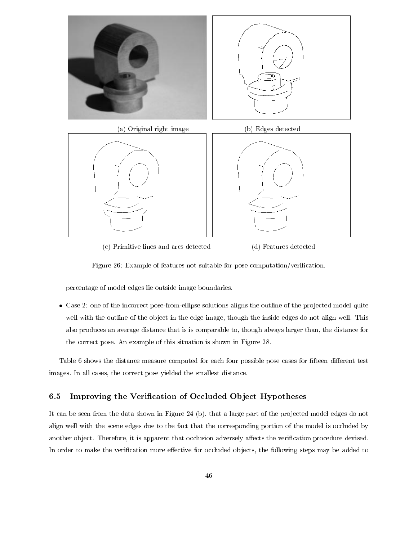

(c) Primitive lines and arcs detected (d) Features detected

Figure 26: Example of features not suitable for pose computation/verification.

percentage of model edges lie outside image boundaries.

• Case 2: one of the incorrect pose-from-ellipse solutions aligns the outline of the projected model quite well with the outline of the object in the edge image, though the inside edges do not align well. This also produces an average distance that is is comparable to, though always larger than, the distance for the correct pose. An example of this situation is shown in Figure 28.

Table 6 shows the distance measure computed for each four possible pose cases for fifteen different test images. In all cases, the correct pose yielded the smallest distance.

### 6.5 Improving the Verification of Occluded Object Hypotheses

It can be seen from the data shown in Figure 24 (b), that a large part of the projected model edges do not align well with the scene edges due to the fact that the corresponding portion of the model is occluded by another object. Therefore, it is apparent that occlusion adversely affects the verification procedure devised. In order to make the verification more effective for occluded objects, the following steps may be added to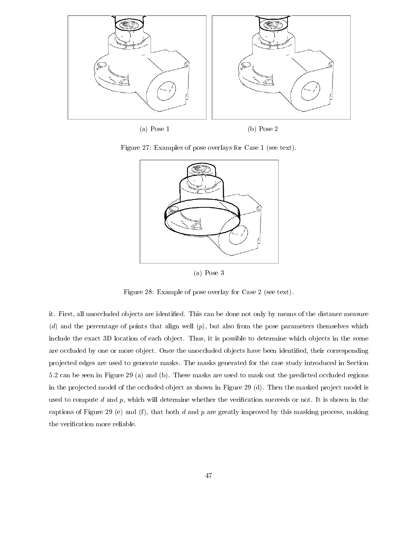

Figure 27: Examples of pose overlays for Case 1 (see text).



(a) Pose 3

Figure 28: Example of pose overlay for Case 2 (see text).

it. First, all unoccluded objects are identified. This can be done not only by means of the distance measure (d) and the percentage of points that align well  $(p)$ , but also from the pose parameters themselves which include the exact 3D location of each object. Thus, it is possible to determine which objects in the scene are occluded by one or more object. Once the unoccluded objects have been identified, their corresponding pro jected edges are used to generate masks. The masks generated for the case study introduced in Section 5.2 can be seen in Figure 29 (a) and (b). These masks are used to mask out the predicted occluded regions in the projected model of the occluded object as shown in Figure 29 (d). Then the masked project model is used to compute  $d$  and  $p$ , which will determine whether the verification succeeds or not. It is shown in the captions of Figure 29 (e) and (f), that both d and p are greatly improved by this masking process, making the verification more reliable.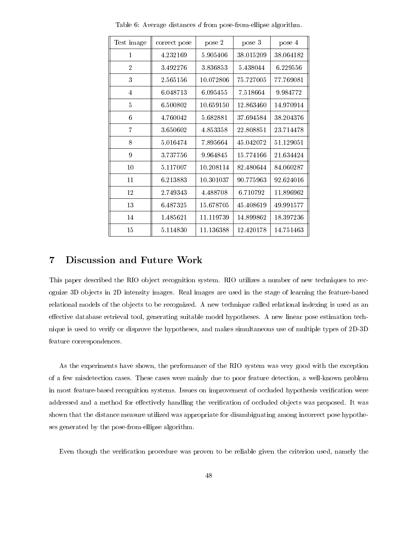| Test image     | correct pose | pose 2    | pose 3    | pose 4    |
|----------------|--------------|-----------|-----------|-----------|
| $\mathbf{1}$   | 4.232169     | 5.905406  | 38.015209 | 38.064182 |
| $\overline{2}$ | 3.492276     | 3.836853  | 5.438044  | 6.229556  |
| 3              | 2.565156     | 10.072806 | 75.727005 | 77.769081 |
| 4              | 6.048713     | 6.095455  | 7.518664  | 9.984772  |
| $\overline{5}$ | 6.500802     | 10.659150 | 12.863460 | 14.970914 |
| 6              | 4.760042     | 5.682881  | 37.694584 | 38.204376 |
| 7              | 3.650602     | 4.853358  | 22.808851 | 23.714478 |
| 8              | 5.016474     | 7.895664  | 45.042072 | 51.129051 |
| 9              | 3.737756     | 9.964845  | 15.774166 | 21.634424 |
| 10             | 5.117007     | 10.208114 | 82.480644 | 84.060287 |
| 11             | 6.213883     | 10.301037 | 90.775963 | 92.624016 |
| 12             | 2.749343     | 4.488708  | 6.710792  | 11.896962 |
| 13             | 6.487325     | 15.678705 | 45 408619 | 49.991577 |
| 14             | 1.485621     | 11.119739 | 14.899862 | 18.397236 |
| 15             | 5.114830     | 11.136388 | 12.420178 | 14.751463 |

Table 6: Average distances d from pose-from-ellipse algorithm.

#### $\overline{7}$ 7 Discussion and Future Work

This paper described the RIO object recognition system. RIO utilizes a number of new techniques to recognize 3D objects in 2D intensity images. Real images are used in the stage of learning the feature-based relational models of the objects to be recognized. A new technique called relational indexing is used as an effective database retrieval tool, generating suitable model hypotheses. A new linear pose estimation technique is used to verify or disprove the hypotheses, and makes simultaneous use of multiple types of 2D-3D feature correspondences.

As the experiments have shown, the performance of the RIO system was very good with the exception of a few misdetection cases. These cases were mainly due to poor feature detection, a well-known problem in most feature-based recognition systems. Issues on improvement of occluded hypothesis verification were addressed and a method for effectively handling the verification of occluded objects was proposed. It was shown that the distance measure utilized was appropriate for disambiguating among incorrect pose hypotheses generated by the pose-from-ellipse algorithm.

Even though the verification procedure was proven to be reliable given the criterion used, namely the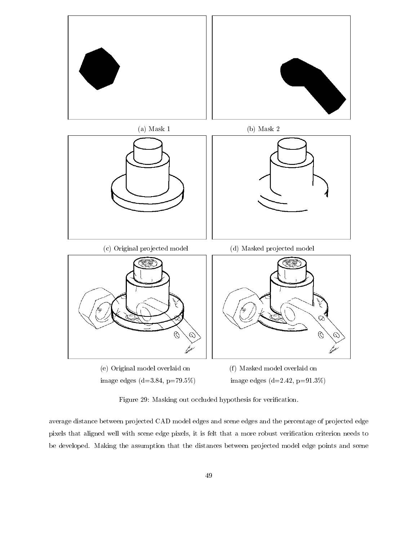

- 
- image edges  $(d=3.84, p=79.5\%)$  image edges  $(d=2.42, p=91.3\%)$

Figure 29: Masking out occluded hypothesis for verification.

average distance between projected CAD model edges and scene edges and the percentage of projected edge pixels that aligned well with scene edge pixels, it is felt that a more robust verification criterion needs to be developed. Making the assumption that the distances between projected model edge points and scene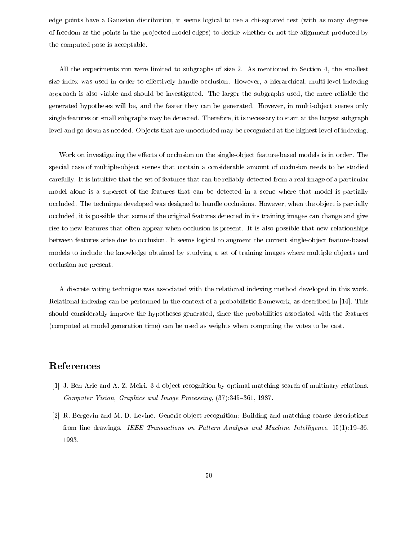edge points have a Gaussian distribution, it seems logical to use a chi-squared test (with as many degrees of freedom as the points in the projected model edges) to decide whether or not the alignment produced by the computed pose is acceptable.

All the experiments run were limited to subgraphs of size 2. As mentioned in Section 4, the smallest size index was used in order to effectively handle occlusion. However, a hierarchical, multi-level indexing approach is also viable and should be investigated. The larger the subgraphs used, the more reliable the generated hypotheses will be, and the faster they can be generated. However, in multi-ob ject scenes only single features or small subgraphs may be detected. Therefore, it is necessary to start at the largest subgraph level and go down as needed. Objects that are unoccluded may be recognized at the highest level of indexing.

Work on investigating the effects of occlusion on the single-object feature-based models is in order. The special case of multiple-ob ject scenes that contain a considerable amount of occlusion needs to be studied carefully. It is intuitive that the set of features that can be reliably detected from a real image of a particular model alone is a superset of the features that can be detected in a scene where that model is partially occluded. The technique developed was designed to handle occlusions. However, when the object is partially occluded, it is possible that some of the original features detected in its training images can change and give rise to new features that often appear when occlusion is present. It is also possible that new relationships between features arise due to occlusion. It seems logical to augment the current single-object feature-based models to include the knowledge obtained by studying a set of training images where multiple objects and occlusion are present.

A discrete voting technique was associated with the relational indexing method developed in this work. Relational indexing can be performed in the context of a probabilistic framework, as described in [14]. This should considerably improve the hypotheses generated, since the probabilities associated with the features (computed at model generation time) can be used as weights when computing the votes to be cast.

# References

- [1] J. Ben-Arie and A. Z. Meiri. 3-d ob ject recognition by optimal matching search of multinary relations. Computer Vision, Graphics and Image Processing,  $(37):345-361$ , 1987.
- [2] R. Bergevin and M. D. Levine. Generic ob ject recognition: Building and matching coarse descriptions from line drawings. IEEE Transactions on Pattern Analysis and Machine Intelligence,  $15(1):19-36$ , 1993.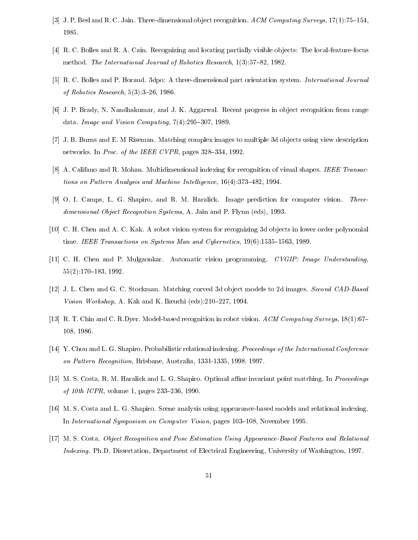- [3] J. P. Besl and R. C. Jain. Three-dimensional object recognition. ACM Computing Surveys,  $17(1)$ : 75–154, 1985.
- [4] R. C. Bolles and R. A. Cain. Recognizing and locating partially visible ob jects: The local-feature-focus method. The International Journal of Robotics Research,  $1(3):57-82$ , 1982.
- [5] R. C. Bolles and P. Horaud. 3dpo: A three-dimensional part orientation system. International Journal of Robotics Research,  $5(3):3-26$ , 1986.
- [6] J. P. Brady, N. Nandhakumar, and J. K. Aggarwal. Recent progress in ob ject recognition from range data. Image and Vision Computing,  $7(4)$ :295-307, 1989.
- [7] J. B. Burns and E. M Riseman. Matching complex images to multiple 3d ob jects using view description networks. In *Proc. of the IEEE CVPR*, pages  $328-334$ , 1992.
- [8] A. Califano and R. Mohan. Multidimensional indexing for recognition of visual shapes. IEEE Transactions on Pattern Analysis and Machine Intelligence,  $16(4)$ : 373-482, 1994.
- [9] O. I. Camps, L. G. Shapiro, and R. M. Haralick. Image prediction for computer vision. Threedimensional Object Recognition Systems, A. Jain and P. Flynn (eds), 1993.
- [10] C. H. Chen and A. C. Kak. A robot vision system for recognizing 3d ob jects in lower order polynomial time. IEEE Transactions on Systems Man and Cybernetics,  $19(6):1535{-}1563, 1989.$
- [11] C. H. Chen and P. Mulgaonkar. Automatic vision programming. CVGIP: Image Understanding,  $55(2):170–183, 1992.$
- [12] J. L. Chen and G. C. Stockman. Matching curved 3d object models to 2d images. Second CAD-Based Vision Workshop, A. Kak and K. Ikeuchi (eds): $210-227$ , 1994.
- [13] R. T. Chin and C. R. Dyer. Model-based recognition in robot vision. ACM Computing Surveys, 18(1):67-108, 1986.
- [14] Y. Chou and L. G. Shapiro. Probabilistic relational indexing. Proceedings of the International Conference on Pattern Recognition, Brisbane, Australia, 1331-1335, 1998. 1997.
- [15] M. S. Costa, R. M. Haralick and L. G. Shapiro. Optimal affine invariant point matching. In *Proceedings* of  $10th$  ICPR, volume 1, pages  $233-236$ , 1990.
- [16] M. S. Costa and L. G. Shapiro. Scene analysis using appearance-based models and relational indexing. In International Symposium on Computer Vision, pages 103-108, November 1995.
- [17] M. S. Costa. Object Recognition and Pose Estimation Using Appearance-Based Features and Relational Indexing. Ph.D. Dissertation, Department of Electrical Engineering, University of Washington, 1997.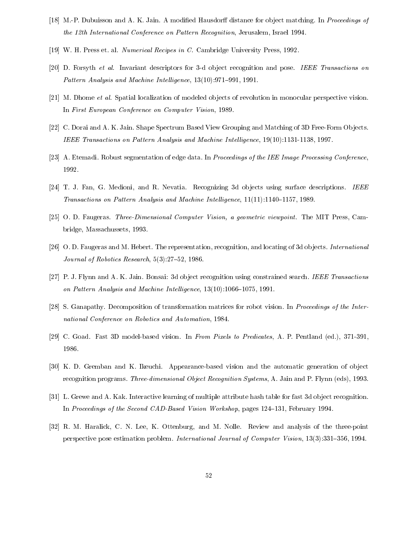- [18] M.-P. Dubuisson and A. K. Jain. A modified Hausdorff distance for object matching. In Proceedings of the 12th International Conference on Pattern Recognition, Jerusalem, Israel 1994.
- [19] W. H. Press et. al. Numerical Recipes in C. Cambridge University Press, 1992.
- [20] D. Forsyth et al. Invariant descriptors for 3-d ob ject recognition and pose. IEEE Transactions on Pattern Analysis and Machine Intelligence,  $13(10):971{-}991$ , 1991.
- [21] M. Dhome et al. Spatial localization of modeled objects of revolution in monocular perspective vision. In First European Conference on Computer Vision, 1989.
- [22] C. Dorai and A. K. Jain. Shape Spectrum Based View Grouping and Matching of 3D Free-Form Objects. IEEE Transactions on Pattern Analysis and Machine Intelligence, 19(10):1131-1138, 1997.
- [23] A. Etemadi. Robust segmentation of edge data. In Proceedings of the IEE Image Processing Conference, 1992.
- [24] T. J. Fan, G. Medioni, and R. Nevatia. Recognizing 3d ob jects using surface descriptions. IEEE Transactions on Pattern Analysis and Machine Intelligence,  $11(11):1140-1157$ , 1989.
- [25] O. D. Faugeras. Three-Dimensional Computer Vision, a geometric viewpoint. The MIT Press, Cambridge, Massachussets, 1993.
- [26] O. D. Faugeras and M. Hebert. The representation, recognition, and locating of 3d ob jects. International Journal of Robotics Research,  $5(3):27-52$ , 1986.
- [27] P. J. Flynn and A. K. Jain. Bonsai: 3d ob ject recognition using constrained search. IEEE Transactions on Pattern Analysis and Machine Intelligence,  $13(10):1066-1075$ , 1991.
- [28] S. Ganapathy. Decomposition of transformation matrices for robot vision. In Proceedings of the International Conference on Robotics and Automation, 1984.
- [29] C. Goad. Fast 3D model-based vision. In From Pixels to Predicates, A. P. Pentland (ed.), 371-391, 1986.
- [30] K. D. Gremban and K. Ikeuchi. Appearance-based vision and the automatic generation of object recognition programs. Three-dimensional Object Recognition Systems, A. Jain and P. Flynn (eds), 1993.
- [31] L. Grewe and A. Kak. Interactive learning of multiple attribute hash table for fast 3d object recognition. In Proceedings of the Second CAD-Based Vision Workshop, pages 124-131, February 1994.
- [32] R. M. Haralick, C. N. Lee, K. Ottenburg, and M. Nolle. Review and analysis of the three-point perspective pose estimation problem. International Journal of Computer Vision, 13(3):331-356, 1994.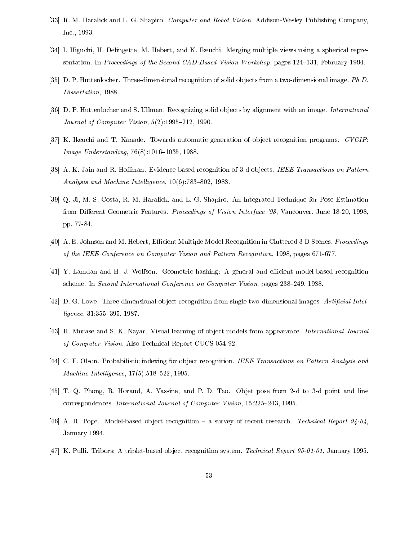- [33] R. M. Haralick and L. G. Shapiro. Computer and Robot Vision. Addison-Wesley Publishing Company, Inc., 1993.
- [34] I. Higuchi, H. Delingette, M. Hebert, and K. Ikeuchi. Merging multiple views using a spherical representation. In Proceedings of the Second CAD-Based Vision Workshop, pages 124–131, February 1994.
- [35] D. P. Huttenlocher. Three-dimensional recognition of solid ob jects from a two-dimensional image. Ph.D. Dissertation, 1988.
- [36] D. P. Huttenlocher and S. Ullman. Recognizing solid objects by alignment with an image. International Journal of Computer Vision,  $5(2):1995-212$ , 1990.
- [37] K. Ikeuchi and T. Kanade. Towards automatic generation of ob ject recognition programs. CVGIP:  $Image$  Understanding, 76(8):1016-1035, 1988.
- [38] A. K. Jain and R. Hoffman. Evidence-based recognition of 3-d objects. IEEE Transactions on Pattern Analysis and Machine Intelligence,  $10(6)$ : 783-802, 1988.
- [39] Q. Ji, M. S. Costa, R. M. Haralick, and L. G. Shapiro, An Integrated Technique for Pose Estimation from Different Geometric Features. *Proceedings of Vision Interface '98*, Vancouver, June 18-20, 1998, pp. 77-84.
- [40] A. E. Johnson and M. Hebert, Efficient Multiple Model Recognition in Cluttered 3-D Scenes. Proceedings of the IEEE Conference on Computer Vision and Pattern Recognition, 1998, pages 671-677.
- [41] Y. Lamdan and H. J. Wolfson. Geometric hashing: A general and efficient model-based recognition scheme. In Second International Conference on Computer Vision, pages 238-249, 1988.
- [42] D. G. Lowe. Three-dimensional object recognition from single two-dimensional images. Artificial Intel $ligence, 31:355-395, 1987.$
- [43] H. Murase and S. K. Nayar. Visual learning of object models from appearance. *International Journal* of Computer Vision, Also Technical Report CUCS-054-92.
- [44] C. F. Olson. Probabilistic indexing for ob ject recognition. IEEE Transactions on Pattern Analysis and *Machine Intelligence*,  $17(5):518{-}522$ , 1995.
- [45] T. Q. Phong, R. Horaud, A. Yassine, and P. D. Tao. Objet pose from 2-d to 3-d point and line correspondences. International Journal of Computer Vision, 15:225-243, 1995.
- [46] A. R. Pope. Model-based object recognition  $-$  a survey of recent research. Technical Report 94-04, January 1994.
- [47] K. Pulli. Tribors: A triplet-based object recognition system. Technical Report 95-01-01, January 1995.